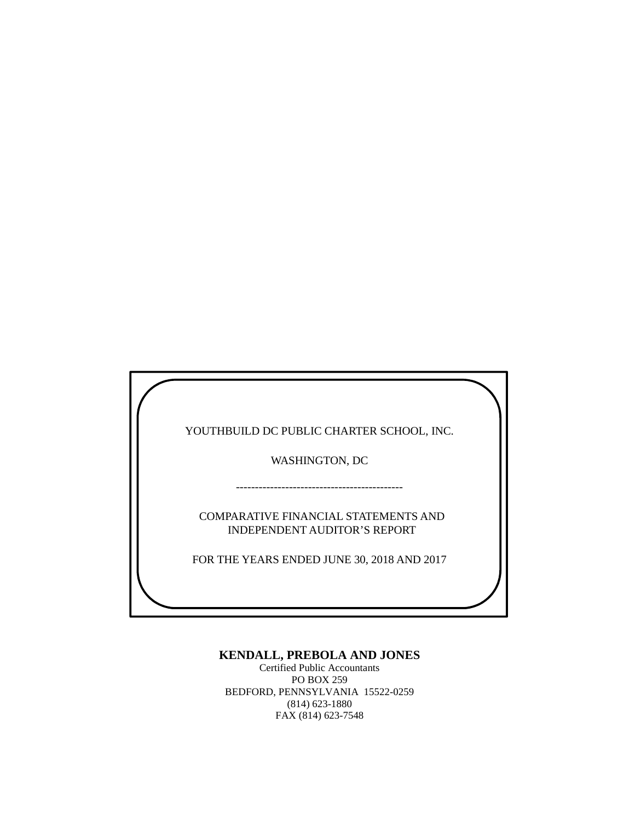YOUTHBUILD DC PUBLIC CHARTER SCHOOL, INC.

WASHINGTON, DC

--------------------------------------------

COMPARATIVE FINANCIAL STATEMENTS AND INDEPENDENT AUDITOR'S REPORT

FOR THE YEARS ENDED JUNE 30, 2018 AND 2017

## **KENDALL, PREBOLA AND JONES**

Certified Public Accountants PO BOX 259 BEDFORD, PENNSYLVANIA 15522-0259 (814) 623-1880 FAX (814) 623-7548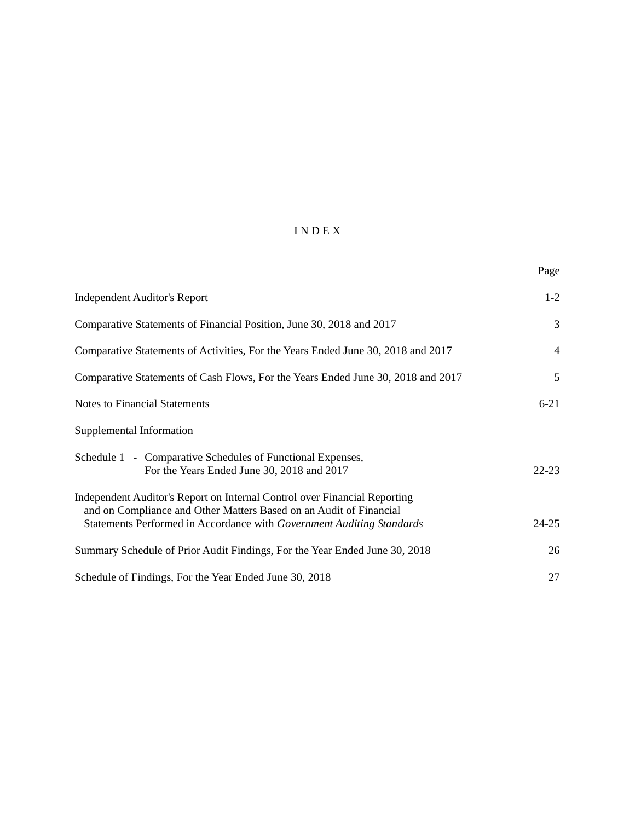# I N D E X

|                                                                                                                                                                                                                          | Page           |
|--------------------------------------------------------------------------------------------------------------------------------------------------------------------------------------------------------------------------|----------------|
| <b>Independent Auditor's Report</b>                                                                                                                                                                                      | $1-2$          |
| Comparative Statements of Financial Position, June 30, 2018 and 2017                                                                                                                                                     | 3              |
| Comparative Statements of Activities, For the Years Ended June 30, 2018 and 2017                                                                                                                                         | $\overline{4}$ |
| Comparative Statements of Cash Flows, For the Years Ended June 30, 2018 and 2017                                                                                                                                         | 5              |
| <b>Notes to Financial Statements</b>                                                                                                                                                                                     | $6 - 21$       |
| Supplemental Information                                                                                                                                                                                                 |                |
| Schedule 1 - Comparative Schedules of Functional Expenses,<br>For the Years Ended June 30, 2018 and 2017                                                                                                                 | $22 - 23$      |
| Independent Auditor's Report on Internal Control over Financial Reporting<br>and on Compliance and Other Matters Based on an Audit of Financial<br>Statements Performed in Accordance with Government Auditing Standards | $24 - 25$      |
| Summary Schedule of Prior Audit Findings, For the Year Ended June 30, 2018                                                                                                                                               | 26             |
| Schedule of Findings, For the Year Ended June 30, 2018                                                                                                                                                                   | 27             |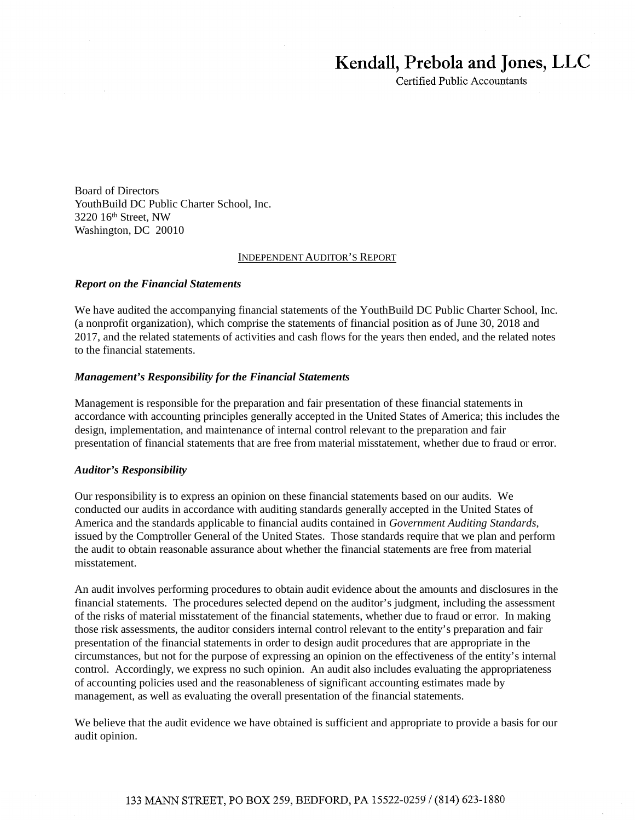# **Kendall, Prebola and Jones, LLC**

Certified Public Accountants

Board of Directors YouthBuild DC Public Charter School, Inc. 3220 16th Street, NW Washington, DC 20010

#### INDEPENDENT AUDITOR'S REPORT

#### *Report on the Financial Statements*

We have audited the accompanying financial statements of the YouthBuild DC Public Charter School, Inc. (a nonprofit organization), which comprise the statements of financial position as of June 30, 2018 and 2017, and the related statements of activities and cash flows for the years then ended, and the related notes to the financial statements.

#### *Management's Responsibility for the Financial Statements*

Management is responsible for the preparation and fair presentation of these financial statements in accordance with accounting principles generally accepted in the United States of America; this includes the design, implementation, and maintenance of internal control relevant to the preparation and fair presentation of financial statements that are free from material misstatement, whether due to fraud or error.

#### *Auditor's Responsibility*

Our responsibility is to express an opinion on these financial statements based on our audits. We conducted our audits in accordance with auditing standards generally accepted in the United States of America and the standards applicable to financial audits contained in *Government Auditing Standards*, issued by the Comptroller General of the United States. Those standards require that we plan and perform the audit to obtain reasonable assurance about whether the financial statements are free from material misstatement.

An audit involves performing procedures to obtain audit evidence about the amounts and disclosures in the financial statements. The procedures selected depend on the auditor's judgment, including the assessment of the risks of material misstatement of the financial statements, whether due to fraud or error. In making those risk assessments, the auditor considers internal control relevant to the entity's preparation and fair presentation of the financial statements in order to design audit procedures that are appropriate in the circumstances, but not for the purpose of expressing an opinion on the effectiveness of the entity's internal control. Accordingly, we express no such opinion. An audit also includes evaluating the appropriateness of accounting policies used and the reasonableness of significant accounting estimates made by management, as well as evaluating the overall presentation of the financial statements.

We believe that the audit evidence we have obtained is sufficient and appropriate to provide a basis for our audit opinion.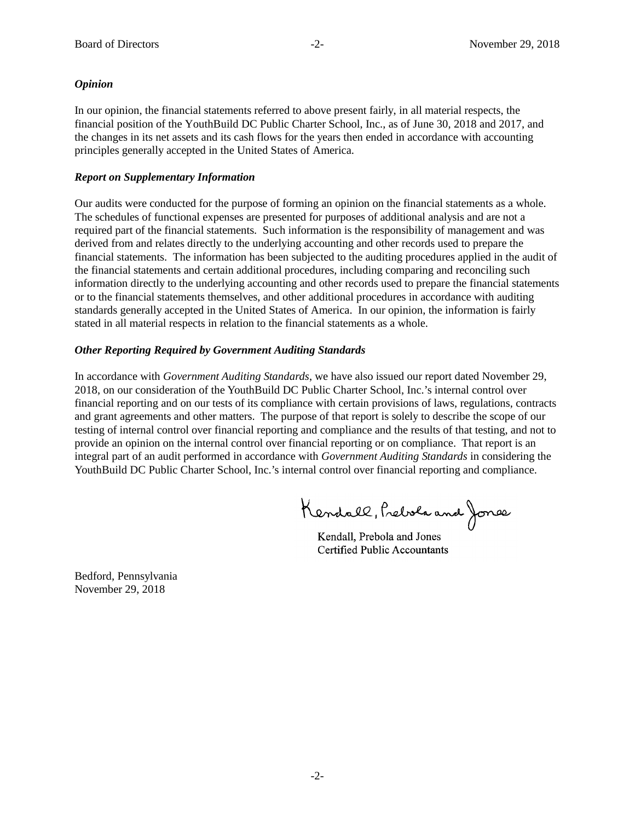## *Opinion*

In our opinion, the financial statements referred to above present fairly, in all material respects, the financial position of the YouthBuild DC Public Charter School, Inc., as of June 30, 2018 and 2017, and the changes in its net assets and its cash flows for the years then ended in accordance with accounting principles generally accepted in the United States of America.

## *Report on Supplementary Information*

Our audits were conducted for the purpose of forming an opinion on the financial statements as a whole. The schedules of functional expenses are presented for purposes of additional analysis and are not a required part of the financial statements. Such information is the responsibility of management and was derived from and relates directly to the underlying accounting and other records used to prepare the financial statements. The information has been subjected to the auditing procedures applied in the audit of the financial statements and certain additional procedures, including comparing and reconciling such information directly to the underlying accounting and other records used to prepare the financial statements or to the financial statements themselves, and other additional procedures in accordance with auditing standards generally accepted in the United States of America. In our opinion, the information is fairly stated in all material respects in relation to the financial statements as a whole.

## *Other Reporting Required by Government Auditing Standards*

In accordance with *Government Auditing Standards*, we have also issued our report dated November 29, 2018, on our consideration of the YouthBuild DC Public Charter School, Inc.'s internal control over financial reporting and on our tests of its compliance with certain provisions of laws, regulations, contracts and grant agreements and other matters. The purpose of that report is solely to describe the scope of our testing of internal control over financial reporting and compliance and the results of that testing, and not to provide an opinion on the internal control over financial reporting or on compliance. That report is an integral part of an audit performed in accordance with *Government Auditing Standards* in considering the YouthBuild DC Public Charter School, Inc.'s internal control over financial reporting and compliance.

Kendall, Prebola and Jones

Kendall, Prebola and Jones Kendall, Prebola and Jones Certified Public Accountants Certified Public Accountants

Bedford, Pennsylvania November 29, 2018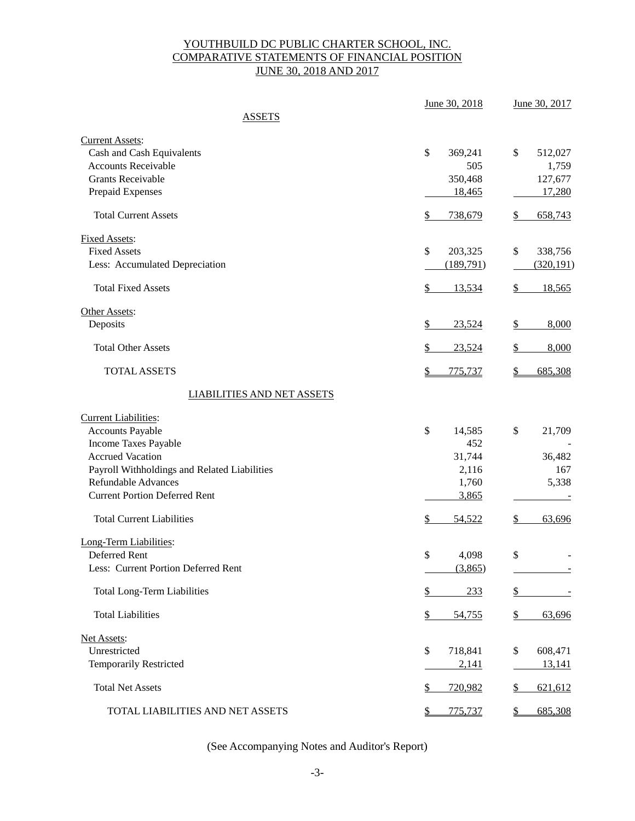# YOUTHBUILD DC PUBLIC CHARTER SCHOOL, INC. COMPARATIVE STATEMENTS OF FINANCIAL POSITION JUNE 30, 2018 AND 2017

|                                              | June 30, 2018 | June 30, 2017           |
|----------------------------------------------|---------------|-------------------------|
| <b>ASSETS</b>                                |               |                         |
| <b>Current Assets:</b>                       |               |                         |
| Cash and Cash Equivalents                    | \$<br>369,241 | \$<br>512,027           |
| <b>Accounts Receivable</b>                   | 505           | 1,759                   |
| <b>Grants Receivable</b>                     | 350,468       | 127,677                 |
| Prepaid Expenses                             | 18,465        | 17,280                  |
| <b>Total Current Assets</b>                  | \$<br>738,679 | \$<br>658,743           |
| <b>Fixed Assets:</b>                         |               |                         |
| <b>Fixed Assets</b>                          | \$<br>203,325 | \$<br>338,756           |
| Less: Accumulated Depreciation               | (189,791)     | (320, 191)              |
| <b>Total Fixed Assets</b>                    | \$<br>13,534  | 18,565<br><u>\$</u>     |
| Other Assets:                                |               |                         |
| Deposits                                     | \$<br>23,524  | \$<br>8,000             |
| <b>Total Other Assets</b>                    | \$<br>23,524  | \$<br>8,000             |
| <b>TOTAL ASSETS</b>                          | \$<br>775,737 | \$<br>685,308           |
| <b>LIABILITIES AND NET ASSETS</b>            |               |                         |
| <b>Current Liabilities:</b>                  |               |                         |
| <b>Accounts Payable</b>                      | \$<br>14,585  | \$<br>21,709            |
| Income Taxes Payable                         | 452           |                         |
| <b>Accrued Vacation</b>                      | 31,744        | 36,482                  |
| Payroll Withholdings and Related Liabilities | 2,116         | 167                     |
| <b>Refundable Advances</b>                   | 1,760         | 5,338                   |
| <b>Current Portion Deferred Rent</b>         | 3,865         |                         |
| <b>Total Current Liabilities</b>             | \$<br>54,522  | 63,696<br>\$            |
| Long-Term Liabilities:                       |               |                         |
| Deferred Rent                                | \$<br>4,098   | \$                      |
| Less: Current Portion Deferred Rent          | (3,865)       |                         |
| <b>Total Long-Term Liabilities</b>           | \$<br>233     | \$                      |
| <b>Total Liabilities</b>                     | \$<br>54,755  | $\frac{1}{2}$<br>63,696 |
| Net Assets:                                  |               |                         |
| Unrestricted                                 | \$<br>718,841 | \$<br>608,471           |
| <b>Temporarily Restricted</b>                | 2,141         | 13,141                  |
| <b>Total Net Assets</b>                      | \$<br>720,982 | \$<br>621,612           |
| TOTAL LIABILITIES AND NET ASSETS             | \$<br>775,737 | 685,308<br>\$           |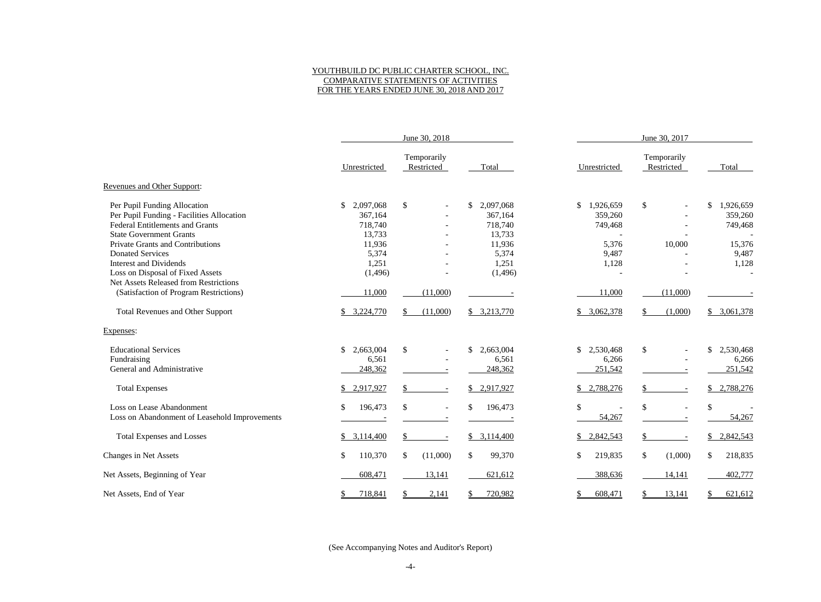#### YOUTHBUILD DC PUBLIC CHARTER SCHOOL, INC. COMPARATIVE STATEMENTS OF ACTIVITIES FOR THE YEARS ENDED JUNE 30, 2018 AND 2017

|                                               | June 30, 2018              |                                       |                 | June 30, 2017              |                           |                                        |  |
|-----------------------------------------------|----------------------------|---------------------------------------|-----------------|----------------------------|---------------------------|----------------------------------------|--|
|                                               | Unrestricted               | Temporarily<br>Restricted             | Total           | Unrestricted               | Temporarily<br>Restricted | Total                                  |  |
| Revenues and Other Support:                   |                            |                                       |                 |                            |                           |                                        |  |
| Per Pupil Funding Allocation                  | $\mathcal{S}$<br>2,097,068 | $\mathcal{S}$                         | 2,097,068<br>\$ | $\frac{1}{2}$<br>1,926,659 | $\sqrt$                   | 1,926,659<br>$\boldsymbol{\mathsf{S}}$ |  |
| Per Pupil Funding - Facilities Allocation     | 367,164                    |                                       | 367,164         | 359,260                    |                           | 359,260                                |  |
| <b>Federal Entitlements and Grants</b>        | 718,740                    |                                       | 718,740         | 749,468                    |                           | 749,468                                |  |
| <b>State Government Grants</b>                | 13,733                     |                                       | 13,733          |                            |                           |                                        |  |
| Private Grants and Contributions              | 11,936                     |                                       | 11,936          | 5,376                      | 10,000                    | 15,376                                 |  |
| <b>Donated Services</b>                       | 5,374                      |                                       | 5,374           | 9,487                      |                           | 9,487                                  |  |
| <b>Interest and Dividends</b>                 | 1,251                      |                                       | 1,251           | 1,128                      |                           | 1,128                                  |  |
| Loss on Disposal of Fixed Assets              | (1,496)                    |                                       | (1,496)         |                            |                           |                                        |  |
| Net Assets Released from Restrictions         |                            |                                       |                 |                            |                           |                                        |  |
| (Satisfaction of Program Restrictions)        | 11,000                     | (11,000)                              |                 | 11,000                     | (11,000)                  |                                        |  |
| <b>Total Revenues and Other Support</b>       | \$3,224,770                | (11,000)<br>S.                        | \$3,213,770     | 3,062,378<br>\$            | (1,000)<br>$\mathbb{S}^-$ | \$3,061,378                            |  |
| Expenses:                                     |                            |                                       |                 |                            |                           |                                        |  |
| <b>Educational Services</b>                   | 2,663,004<br>\$            | $\mathcal{S}$                         | 2,663,004<br>\$ | 2,530,468<br>$\mathcal{S}$ | $\boldsymbol{\mathsf{S}}$ | $\boldsymbol{\mathsf{S}}$<br>2,530,468 |  |
| Fundraising                                   | 6,561                      |                                       | 6,561           | 6,266                      |                           | 6,266                                  |  |
| General and Administrative                    | 248,362                    |                                       | 248,362         | 251,542                    |                           | 251,542                                |  |
| <b>Total Expenses</b>                         | 2,917,927<br>\$            |                                       | 2,917,927<br>\$ | 2,788,276<br>\$            | \$                        | 2,788,276                              |  |
| <b>Loss on Lease Abandonment</b>              | 196,473<br>\$              | \$                                    | 196,473<br>\$   | $\boldsymbol{\mathsf{S}}$  | \$                        | \$                                     |  |
| Loss on Abandonment of Leasehold Improvements |                            |                                       |                 | 54,267                     |                           | 54,267                                 |  |
| <b>Total Expenses and Losses</b>              | \$3,114,400                |                                       | \$3,114,400     | 2,842,543                  | \$                        | 2,842,543                              |  |
| <b>Changes in Net Assets</b>                  | 110,370<br>\$              | (11,000)<br>$\boldsymbol{\mathsf{S}}$ | \$<br>99,370    | 219,835<br>$\frac{1}{2}$   | $\mathcal{S}$<br>(1,000)  | 218,835<br>\$                          |  |
| Net Assets, Beginning of Year                 | 608,471                    | 13,141                                | 621,612         | 388,636                    | 14,141                    | 402,777                                |  |
| Net Assets, End of Year                       | 718,841<br>\$              | 2,141                                 | 720,982         | 608,471                    | 13,141                    | 621,612                                |  |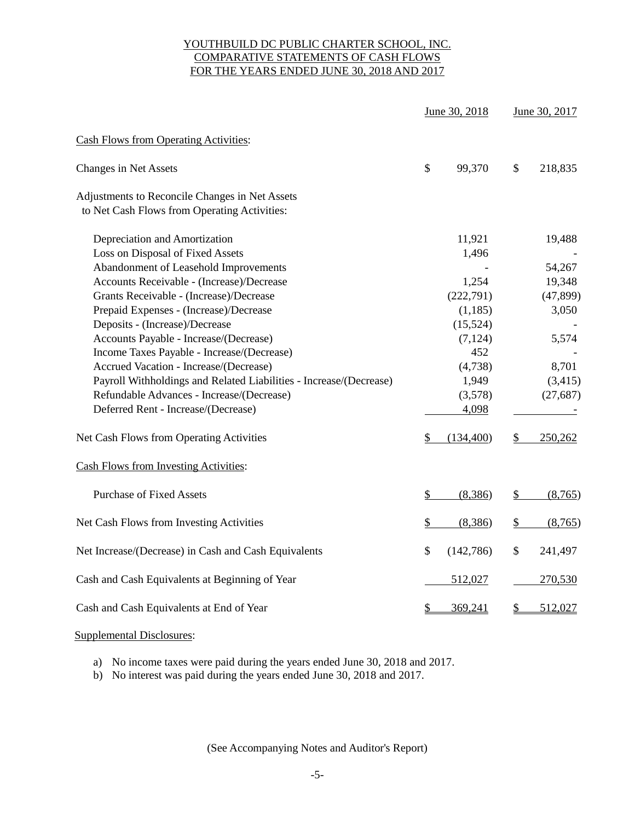## YOUTHBUILD DC PUBLIC CHARTER SCHOOL, INC. COMPARATIVE STATEMENTS OF CASH FLOWS FOR THE YEARS ENDED JUNE 30, 2018 AND 2017

|                                                                    | June 30, 2018    | June 30, 2017 |
|--------------------------------------------------------------------|------------------|---------------|
| <b>Cash Flows from Operating Activities:</b>                       |                  |               |
| <b>Changes in Net Assets</b>                                       | \$<br>99,370     | \$<br>218,835 |
| Adjustments to Reconcile Changes in Net Assets                     |                  |               |
| to Net Cash Flows from Operating Activities:                       |                  |               |
| Depreciation and Amortization                                      | 11,921           | 19,488        |
| Loss on Disposal of Fixed Assets                                   | 1,496            |               |
| Abandonment of Leasehold Improvements                              |                  | 54,267        |
| Accounts Receivable - (Increase)/Decrease                          | 1,254            | 19,348        |
| Grants Receivable - (Increase)/Decrease                            | (222, 791)       | (47, 899)     |
| Prepaid Expenses - (Increase)/Decrease                             | (1, 185)         | 3,050         |
| Deposits - (Increase)/Decrease                                     | (15,524)         |               |
| Accounts Payable - Increase/(Decrease)                             | (7, 124)         | 5,574         |
| Income Taxes Payable - Increase/(Decrease)                         | 452              |               |
| Accrued Vacation - Increase/(Decrease)                             | (4,738)          | 8,701         |
| Payroll Withholdings and Related Liabilities - Increase/(Decrease) | 1,949            | (3, 415)      |
| Refundable Advances - Increase/(Decrease)                          | (3,578)          | (27, 687)     |
| Deferred Rent - Increase/(Decrease)                                | 4,098            |               |
| Net Cash Flows from Operating Activities                           | \$<br>(134, 400) | \$<br>250,262 |
| <b>Cash Flows from Investing Activities:</b>                       |                  |               |
| <b>Purchase of Fixed Assets</b>                                    | \$<br>(8,386)    | \$<br>(8,765) |
| Net Cash Flows from Investing Activities                           | \$<br>(8,386)    | \$<br>(8,765) |
| Net Increase/(Decrease) in Cash and Cash Equivalents               | \$<br>(142,786)  | \$<br>241,497 |
| Cash and Cash Equivalents at Beginning of Year                     | 512,027          | 270,530       |
| Cash and Cash Equivalents at End of Year                           | \$<br>369,241    | 512,027       |

Supplemental Disclosures:

a) No income taxes were paid during the years ended June 30, 2018 and 2017.

b) No interest was paid during the years ended June 30, 2018 and 2017.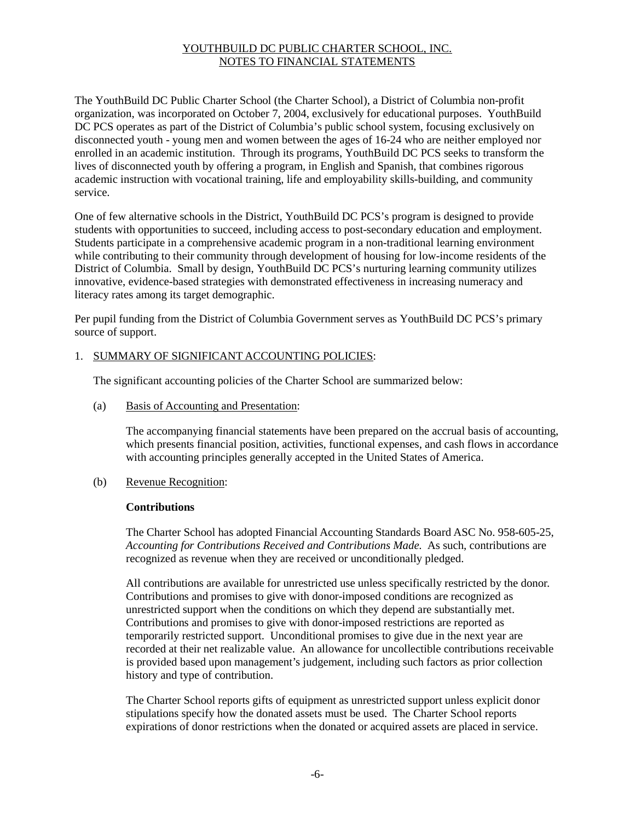The YouthBuild DC Public Charter School (the Charter School), a District of Columbia non-profit organization, was incorporated on October 7, 2004, exclusively for educational purposes. YouthBuild DC PCS operates as part of the District of Columbia's public school system, focusing exclusively on disconnected youth - young men and women between the ages of 16-24 who are neither employed nor enrolled in an academic institution. Through its programs, YouthBuild DC PCS seeks to transform the lives of disconnected youth by offering a program, in English and Spanish, that combines rigorous academic instruction with vocational training, life and employability skills-building, and community service.

One of few alternative schools in the District, YouthBuild DC PCS's program is designed to provide students with opportunities to succeed, including access to post-secondary education and employment. Students participate in a comprehensive academic program in a non-traditional learning environment while contributing to their community through development of housing for low-income residents of the District of Columbia. Small by design, YouthBuild DC PCS's nurturing learning community utilizes innovative, evidence-based strategies with demonstrated effectiveness in increasing numeracy and literacy rates among its target demographic.

Per pupil funding from the District of Columbia Government serves as YouthBuild DC PCS's primary source of support.

## 1. SUMMARY OF SIGNIFICANT ACCOUNTING POLICIES:

The significant accounting policies of the Charter School are summarized below:

(a) Basis of Accounting and Presentation:

The accompanying financial statements have been prepared on the accrual basis of accounting, which presents financial position, activities, functional expenses, and cash flows in accordance with accounting principles generally accepted in the United States of America.

(b) Revenue Recognition:

## **Contributions**

The Charter School has adopted Financial Accounting Standards Board ASC No. 958-605-25, *Accounting for Contributions Received and Contributions Made.* As such, contributions are recognized as revenue when they are received or unconditionally pledged.

All contributions are available for unrestricted use unless specifically restricted by the donor. Contributions and promises to give with donor-imposed conditions are recognized as unrestricted support when the conditions on which they depend are substantially met. Contributions and promises to give with donor-imposed restrictions are reported as temporarily restricted support. Unconditional promises to give due in the next year are recorded at their net realizable value. An allowance for uncollectible contributions receivable is provided based upon management's judgement, including such factors as prior collection history and type of contribution.

The Charter School reports gifts of equipment as unrestricted support unless explicit donor stipulations specify how the donated assets must be used. The Charter School reports expirations of donor restrictions when the donated or acquired assets are placed in service.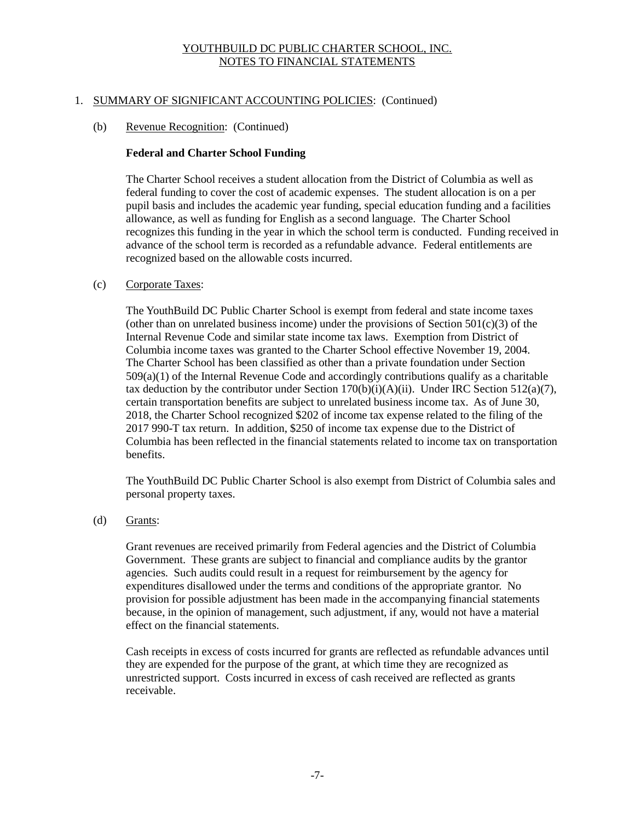## 1. SUMMARY OF SIGNIFICANT ACCOUNTING POLICIES: (Continued)

#### (b) Revenue Recognition: (Continued)

### **Federal and Charter School Funding**

The Charter School receives a student allocation from the District of Columbia as well as federal funding to cover the cost of academic expenses. The student allocation is on a per pupil basis and includes the academic year funding, special education funding and a facilities allowance, as well as funding for English as a second language. The Charter School recognizes this funding in the year in which the school term is conducted. Funding received in advance of the school term is recorded as a refundable advance. Federal entitlements are recognized based on the allowable costs incurred.

#### (c) Corporate Taxes:

The YouthBuild DC Public Charter School is exempt from federal and state income taxes (other than on unrelated business income) under the provisions of Section  $501(c)(3)$  of the Internal Revenue Code and similar state income tax laws. Exemption from District of Columbia income taxes was granted to the Charter School effective November 19, 2004. The Charter School has been classified as other than a private foundation under Section  $509(a)(1)$  of the Internal Revenue Code and accordingly contributions qualify as a charitable tax deduction by the contributor under Section  $170(b)(i)(A)(ii)$ . Under IRC Section  $512(a)(7)$ , certain transportation benefits are subject to unrelated business income tax. As of June 30, 2018, the Charter School recognized \$202 of income tax expense related to the filing of the 2017 990-T tax return. In addition, \$250 of income tax expense due to the District of Columbia has been reflected in the financial statements related to income tax on transportation benefits.

The YouthBuild DC Public Charter School is also exempt from District of Columbia sales and personal property taxes.

#### (d) Grants:

Grant revenues are received primarily from Federal agencies and the District of Columbia Government. These grants are subject to financial and compliance audits by the grantor agencies. Such audits could result in a request for reimbursement by the agency for expenditures disallowed under the terms and conditions of the appropriate grantor. No provision for possible adjustment has been made in the accompanying financial statements because, in the opinion of management, such adjustment, if any, would not have a material effect on the financial statements.

Cash receipts in excess of costs incurred for grants are reflected as refundable advances until they are expended for the purpose of the grant, at which time they are recognized as unrestricted support. Costs incurred in excess of cash received are reflected as grants receivable.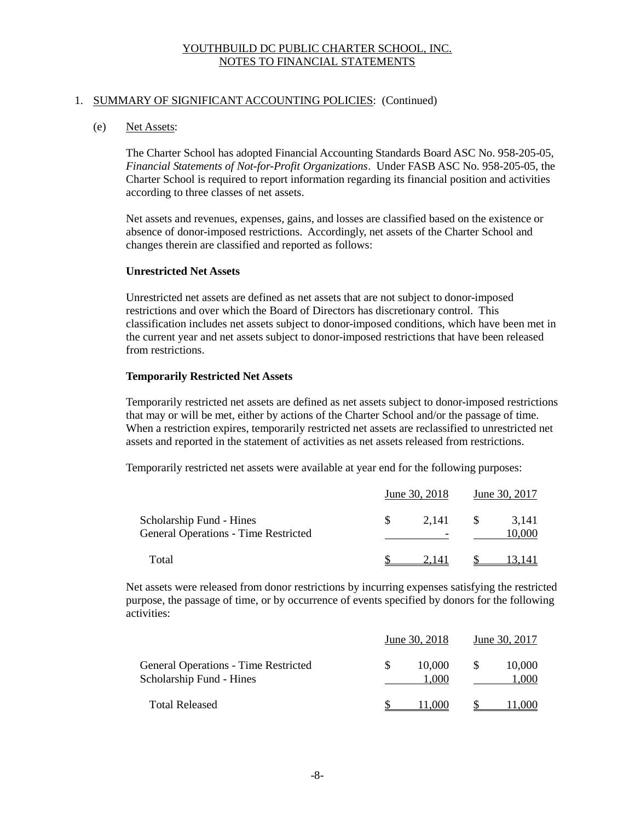## 1. SUMMARY OF SIGNIFICANT ACCOUNTING POLICIES: (Continued)

## (e) Net Assets:

The Charter School has adopted Financial Accounting Standards Board ASC No. 958-205-05, *Financial Statements of Not-for-Profit Organizations*. Under FASB ASC No. 958-205-05, the Charter School is required to report information regarding its financial position and activities according to three classes of net assets.

Net assets and revenues, expenses, gains, and losses are classified based on the existence or absence of donor-imposed restrictions. Accordingly, net assets of the Charter School and changes therein are classified and reported as follows:

## **Unrestricted Net Assets**

Unrestricted net assets are defined as net assets that are not subject to donor-imposed restrictions and over which the Board of Directors has discretionary control. This classification includes net assets subject to donor-imposed conditions, which have been met in the current year and net assets subject to donor-imposed restrictions that have been released from restrictions.

## **Temporarily Restricted Net Assets**

Temporarily restricted net assets are defined as net assets subject to donor-imposed restrictions that may or will be met, either by actions of the Charter School and/or the passage of time. When a restriction expires, temporarily restricted net assets are reclassified to unrestricted net assets and reported in the statement of activities as net assets released from restrictions.

Temporarily restricted net assets were available at year end for the following purposes:

|                                                                  | June 30, 2018 | June 30, 2017 |                 |  |
|------------------------------------------------------------------|---------------|---------------|-----------------|--|
| Scholarship Fund - Hines<br>General Operations - Time Restricted | 2.141         |               | 3.141<br>10.000 |  |
| Total                                                            | 2.141         |               | 13.141          |  |

Net assets were released from donor restrictions by incurring expenses satisfying the restricted purpose, the passage of time, or by occurrence of events specified by donors for the following activities:

|                                                                         | June 30, 2018   | June 30, 2017 |                 |  |
|-------------------------------------------------------------------------|-----------------|---------------|-----------------|--|
| <b>General Operations - Time Restricted</b><br>Scholarship Fund - Hines | 10.000<br>1.000 |               | 10,000<br>l.000 |  |
| <b>Total Released</b>                                                   | 11.000          |               | 1.000           |  |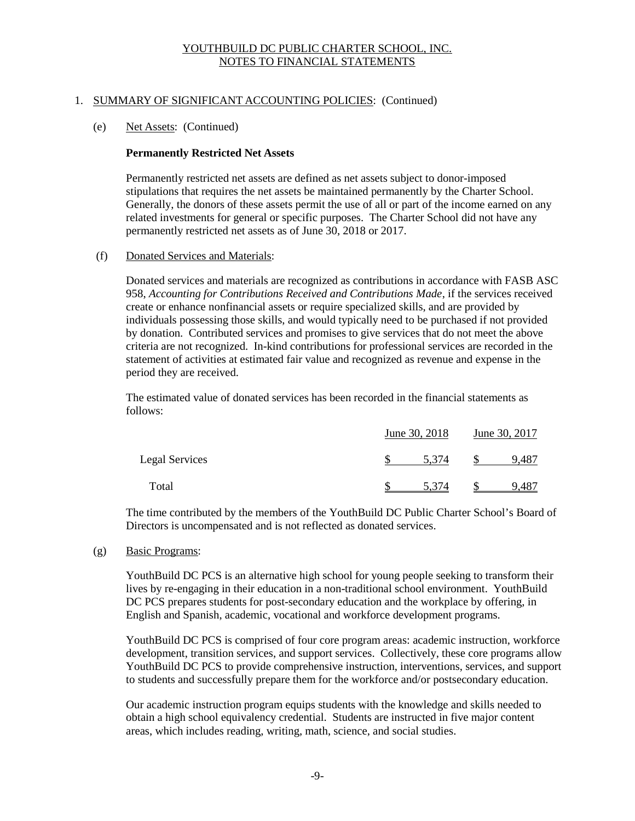## 1. SUMMARY OF SIGNIFICANT ACCOUNTING POLICIES: (Continued)

(e) Net Assets: (Continued)

#### **Permanently Restricted Net Assets**

Permanently restricted net assets are defined as net assets subject to donor-imposed stipulations that requires the net assets be maintained permanently by the Charter School. Generally, the donors of these assets permit the use of all or part of the income earned on any related investments for general or specific purposes. The Charter School did not have any permanently restricted net assets as of June 30, 2018 or 2017.

#### (f) Donated Services and Materials:

Donated services and materials are recognized as contributions in accordance with FASB ASC 958, *Accounting for Contributions Received and Contributions Made*, if the services received create or enhance nonfinancial assets or require specialized skills, and are provided by individuals possessing those skills, and would typically need to be purchased if not provided by donation. Contributed services and promises to give services that do not meet the above criteria are not recognized. In-kind contributions for professional services are recorded in the statement of activities at estimated fair value and recognized as revenue and expense in the period they are received.

The estimated value of donated services has been recorded in the financial statements as follows:

|                | June 30, 2018 | June 30, 2017 |       |  |
|----------------|---------------|---------------|-------|--|
| Legal Services | 5.374         |               | 9.487 |  |
| Total          | 5.374         |               | 9.487 |  |

The time contributed by the members of the YouthBuild DC Public Charter School's Board of Directors is uncompensated and is not reflected as donated services.

#### (g) Basic Programs:

YouthBuild DC PCS is an alternative high school for young people seeking to transform their lives by re-engaging in their education in a non-traditional school environment. YouthBuild DC PCS prepares students for post-secondary education and the workplace by offering, in English and Spanish, academic, vocational and workforce development programs.

YouthBuild DC PCS is comprised of four core program areas: academic instruction, workforce development, transition services, and support services. Collectively, these core programs allow YouthBuild DC PCS to provide comprehensive instruction, interventions, services, and support to students and successfully prepare them for the workforce and/or postsecondary education.

Our academic instruction program equips students with the knowledge and skills needed to obtain a high school equivalency credential. Students are instructed in five major content areas, which includes reading, writing, math, science, and social studies.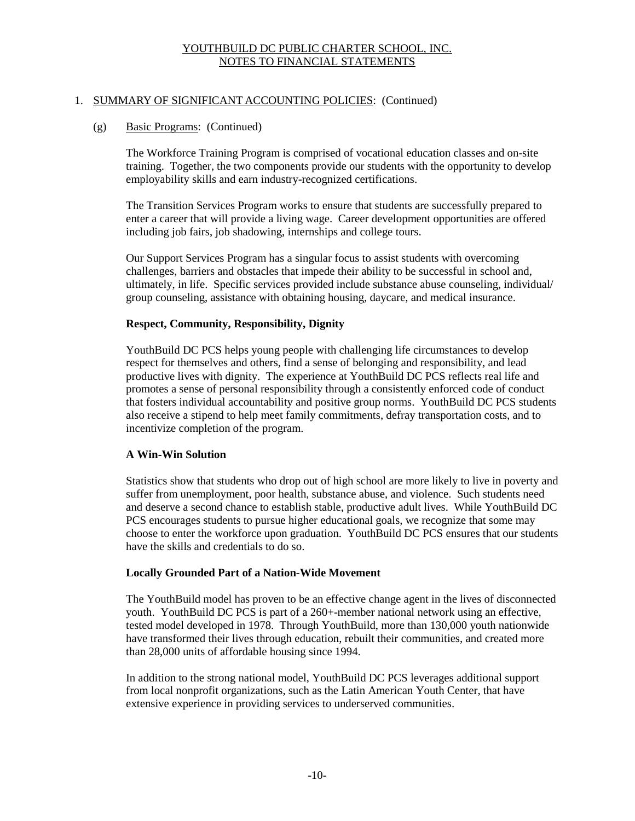## 1. SUMMARY OF SIGNIFICANT ACCOUNTING POLICIES: (Continued)

#### (g) Basic Programs: (Continued)

The Workforce Training Program is comprised of vocational education classes and on-site training. Together, the two components provide our students with the opportunity to develop employability skills and earn industry-recognized certifications.

The Transition Services Program works to ensure that students are successfully prepared to enter a career that will provide a living wage. Career development opportunities are offered including job fairs, job shadowing, internships and college tours.

Our Support Services Program has a singular focus to assist students with overcoming challenges, barriers and obstacles that impede their ability to be successful in school and, ultimately, in life. Specific services provided include substance abuse counseling, individual/ group counseling, assistance with obtaining housing, daycare, and medical insurance.

## **Respect, Community, Responsibility, Dignity**

YouthBuild DC PCS helps young people with challenging life circumstances to develop respect for themselves and others, find a sense of belonging and responsibility, and lead productive lives with dignity. The experience at YouthBuild DC PCS reflects real life and promotes a sense of personal responsibility through a consistently enforced code of conduct that fosters individual accountability and positive group norms. YouthBuild DC PCS students also receive a stipend to help meet family commitments, defray transportation costs, and to incentivize completion of the program.

## **A Win-Win Solution**

Statistics show that students who drop out of high school are more likely to live in poverty and suffer from unemployment, poor health, substance abuse, and violence. Such students need and deserve a second chance to establish stable, productive adult lives. While YouthBuild DC PCS encourages students to pursue higher educational goals, we recognize that some may choose to enter the workforce upon graduation. YouthBuild DC PCS ensures that our students have the skills and credentials to do so.

## **Locally Grounded Part of a Nation-Wide Movement**

The YouthBuild model has proven to be an effective change agent in the lives of disconnected youth. YouthBuild DC PCS is part of a 260+-member national network using an effective, tested model developed in 1978. Through YouthBuild, more than 130,000 youth nationwide have transformed their lives through education, rebuilt their communities, and created more than 28,000 units of affordable housing since 1994.

In addition to the strong national model, YouthBuild DC PCS leverages additional support from local nonprofit organizations, such as the Latin American Youth Center, that have extensive experience in providing services to underserved communities.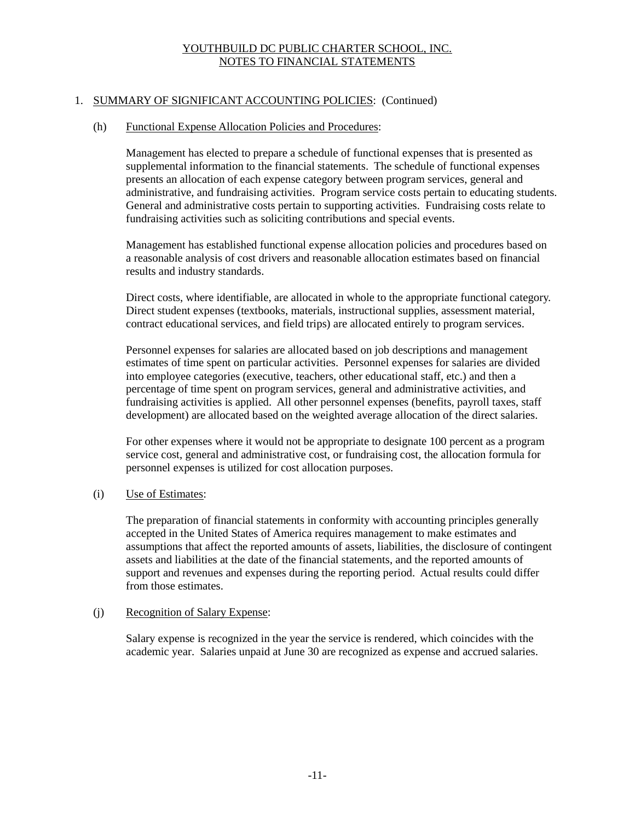# 1. SUMMARY OF SIGNIFICANT ACCOUNTING POLICIES: (Continued)

## (h) Functional Expense Allocation Policies and Procedures:

Management has elected to prepare a schedule of functional expenses that is presented as supplemental information to the financial statements. The schedule of functional expenses presents an allocation of each expense category between program services, general and administrative, and fundraising activities. Program service costs pertain to educating students. General and administrative costs pertain to supporting activities. Fundraising costs relate to fundraising activities such as soliciting contributions and special events.

Management has established functional expense allocation policies and procedures based on a reasonable analysis of cost drivers and reasonable allocation estimates based on financial results and industry standards.

Direct costs, where identifiable, are allocated in whole to the appropriate functional category. Direct student expenses (textbooks, materials, instructional supplies, assessment material, contract educational services, and field trips) are allocated entirely to program services.

Personnel expenses for salaries are allocated based on job descriptions and management estimates of time spent on particular activities. Personnel expenses for salaries are divided into employee categories (executive, teachers, other educational staff, etc.) and then a percentage of time spent on program services, general and administrative activities, and fundraising activities is applied. All other personnel expenses (benefits, payroll taxes, staff development) are allocated based on the weighted average allocation of the direct salaries.

For other expenses where it would not be appropriate to designate 100 percent as a program service cost, general and administrative cost, or fundraising cost, the allocation formula for personnel expenses is utilized for cost allocation purposes.

## (i) Use of Estimates:

The preparation of financial statements in conformity with accounting principles generally accepted in the United States of America requires management to make estimates and assumptions that affect the reported amounts of assets, liabilities, the disclosure of contingent assets and liabilities at the date of the financial statements, and the reported amounts of support and revenues and expenses during the reporting period. Actual results could differ from those estimates.

#### (j) Recognition of Salary Expense:

Salary expense is recognized in the year the service is rendered, which coincides with the academic year. Salaries unpaid at June 30 are recognized as expense and accrued salaries.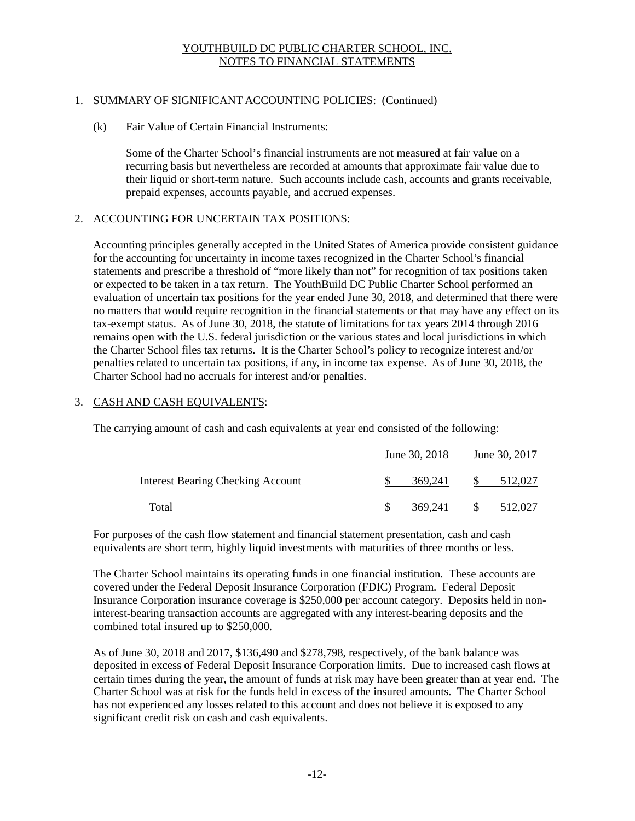## 1. SUMMARY OF SIGNIFICANT ACCOUNTING POLICIES: (Continued)

#### (k) Fair Value of Certain Financial Instruments:

Some of the Charter School's financial instruments are not measured at fair value on a recurring basis but nevertheless are recorded at amounts that approximate fair value due to their liquid or short-term nature. Such accounts include cash, accounts and grants receivable, prepaid expenses, accounts payable, and accrued expenses.

## 2. ACCOUNTING FOR UNCERTAIN TAX POSITIONS:

Accounting principles generally accepted in the United States of America provide consistent guidance for the accounting for uncertainty in income taxes recognized in the Charter School's financial statements and prescribe a threshold of "more likely than not" for recognition of tax positions taken or expected to be taken in a tax return. The YouthBuild DC Public Charter School performed an evaluation of uncertain tax positions for the year ended June 30, 2018, and determined that there were no matters that would require recognition in the financial statements or that may have any effect on its tax-exempt status. As of June 30, 2018, the statute of limitations for tax years 2014 through 2016 remains open with the U.S. federal jurisdiction or the various states and local jurisdictions in which the Charter School files tax returns. It is the Charter School's policy to recognize interest and/or penalties related to uncertain tax positions, if any, in income tax expense. As of June 30, 2018, the Charter School had no accruals for interest and/or penalties.

## 3. CASH AND CASH EQUIVALENTS:

The carrying amount of cash and cash equivalents at year end consisted of the following:

|                                          | June 30, 2018 | June 30, 2017 |
|------------------------------------------|---------------|---------------|
| <b>Interest Bearing Checking Account</b> | 369.241       | 512,027       |
| Total                                    | 369,241       | 512.027       |

For purposes of the cash flow statement and financial statement presentation, cash and cash equivalents are short term, highly liquid investments with maturities of three months or less.

The Charter School maintains its operating funds in one financial institution. These accounts are covered under the Federal Deposit Insurance Corporation (FDIC) Program. Federal Deposit Insurance Corporation insurance coverage is \$250,000 per account category. Deposits held in noninterest-bearing transaction accounts are aggregated with any interest-bearing deposits and the combined total insured up to \$250,000.

As of June 30, 2018 and 2017, \$136,490 and \$278,798, respectively, of the bank balance was deposited in excess of Federal Deposit Insurance Corporation limits. Due to increased cash flows at certain times during the year, the amount of funds at risk may have been greater than at year end. The Charter School was at risk for the funds held in excess of the insured amounts. The Charter School has not experienced any losses related to this account and does not believe it is exposed to any significant credit risk on cash and cash equivalents.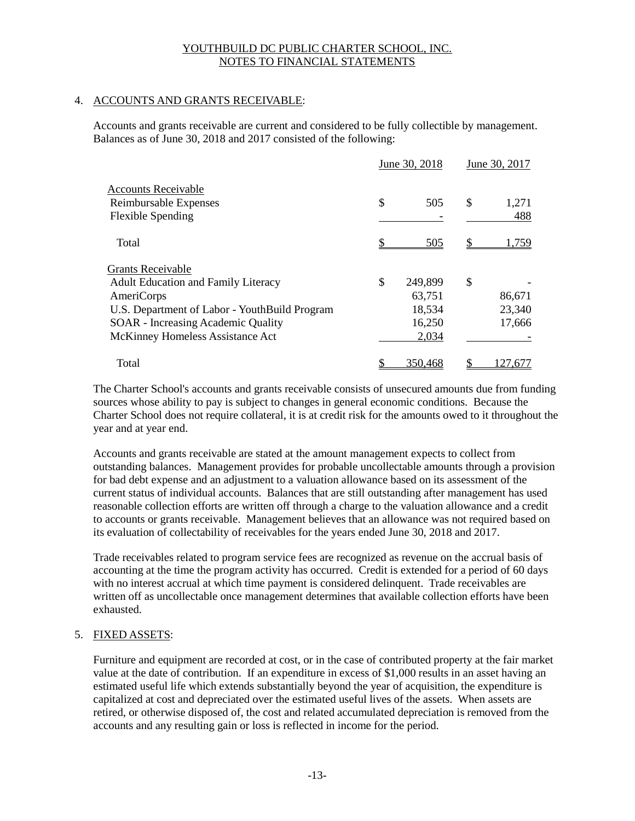## 4. ACCOUNTS AND GRANTS RECEIVABLE:

Accounts and grants receivable are current and considered to be fully collectible by management. Balances as of June 30, 2018 and 2017 consisted of the following:

|                                               |    | June 30, 2018 | June 30, 2017 |         |  |
|-----------------------------------------------|----|---------------|---------------|---------|--|
| <b>Accounts Receivable</b>                    |    |               |               |         |  |
| Reimbursable Expenses                         | \$ | 505           | \$            | 1,271   |  |
| <b>Flexible Spending</b>                      |    |               |               | 488     |  |
| Total                                         |    | 505           |               | 1,759   |  |
| <b>Grants Receivable</b>                      |    |               |               |         |  |
| <b>Adult Education and Family Literacy</b>    | \$ | 249,899       | \$            |         |  |
| AmeriCorps                                    |    | 63,751        |               | 86,671  |  |
| U.S. Department of Labor - YouthBuild Program |    | 18,534        |               | 23,340  |  |
| SOAR - Increasing Academic Quality            |    | 16,250        |               | 17,666  |  |
| <b>McKinney Homeless Assistance Act</b>       |    | 2,034         |               |         |  |
| Total                                         |    | 350,468       |               | 127.677 |  |

The Charter School's accounts and grants receivable consists of unsecured amounts due from funding sources whose ability to pay is subject to changes in general economic conditions. Because the Charter School does not require collateral, it is at credit risk for the amounts owed to it throughout the year and at year end.

Accounts and grants receivable are stated at the amount management expects to collect from outstanding balances. Management provides for probable uncollectable amounts through a provision for bad debt expense and an adjustment to a valuation allowance based on its assessment of the current status of individual accounts. Balances that are still outstanding after management has used reasonable collection efforts are written off through a charge to the valuation allowance and a credit to accounts or grants receivable. Management believes that an allowance was not required based on its evaluation of collectability of receivables for the years ended June 30, 2018 and 2017.

Trade receivables related to program service fees are recognized as revenue on the accrual basis of accounting at the time the program activity has occurred. Credit is extended for a period of 60 days with no interest accrual at which time payment is considered delinquent. Trade receivables are written off as uncollectable once management determines that available collection efforts have been exhausted.

## 5. FIXED ASSETS:

Furniture and equipment are recorded at cost, or in the case of contributed property at the fair market value at the date of contribution. If an expenditure in excess of \$1,000 results in an asset having an estimated useful life which extends substantially beyond the year of acquisition, the expenditure is capitalized at cost and depreciated over the estimated useful lives of the assets. When assets are retired, or otherwise disposed of, the cost and related accumulated depreciation is removed from the accounts and any resulting gain or loss is reflected in income for the period.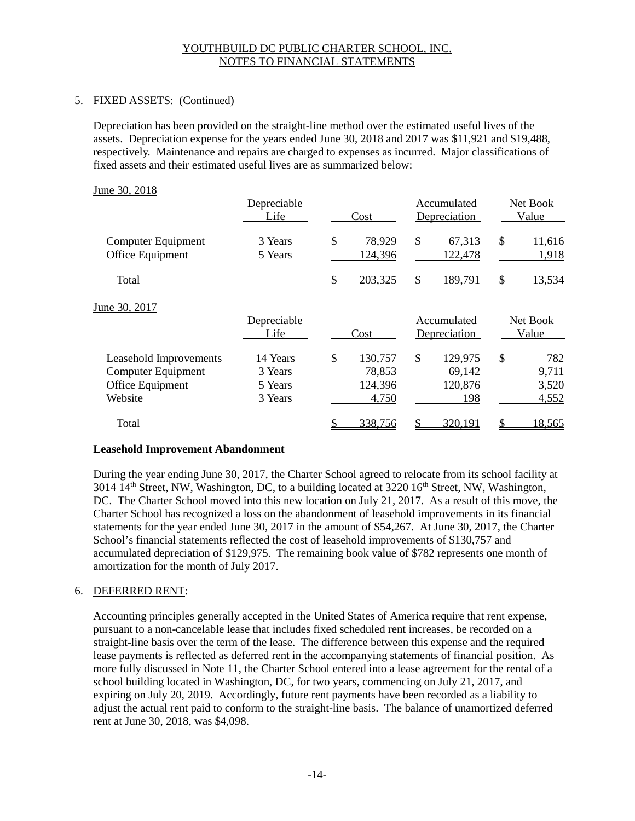## 5. FIXED ASSETS: (Continued)

Depreciation has been provided on the straight-line method over the estimated useful lives of the assets. Depreciation expense for the years ended June 30, 2018 and 2017 was \$11,921 and \$19,488, respectively. Maintenance and repairs are charged to expenses as incurred. Major classifications of fixed assets and their estimated useful lives are as summarized below:

#### June 30, 2018

|                                                                                    | Depreciable<br>Life                       | Cost                                        | Accumulated<br>Depreciation               |    | Net Book<br>Value              |
|------------------------------------------------------------------------------------|-------------------------------------------|---------------------------------------------|-------------------------------------------|----|--------------------------------|
| <b>Computer Equipment</b><br>Office Equipment                                      | 3 Years<br>5 Years                        | \$<br>78,929<br>124,396                     | \$<br>67,313<br>122,478                   | \$ | 11,616<br>1,918                |
| Total                                                                              |                                           | 203,325                                     | 189,791                                   | S  | 13,534                         |
| June 30, 2017                                                                      | Depreciable<br>Life                       | Cost                                        | Accumulated<br>Depreciation               |    | Net Book<br>Value              |
| Leasehold Improvements<br><b>Computer Equipment</b><br>Office Equipment<br>Website | 14 Years<br>3 Years<br>5 Years<br>3 Years | \$<br>130,757<br>78,853<br>124,396<br>4,750 | \$<br>129,975<br>69,142<br>120,876<br>198 | \$ | 782<br>9,711<br>3,520<br>4,552 |
| Total                                                                              |                                           | 338,756                                     | 320,191                                   |    | 18,565                         |

## **Leasehold Improvement Abandonment**

During the year ending June 30, 2017, the Charter School agreed to relocate from its school facility at 3014 14<sup>th</sup> Street, NW, Washington, DC, to a building located at 3220 16<sup>th</sup> Street, NW, Washington, DC. The Charter School moved into this new location on July 21, 2017. As a result of this move, the Charter School has recognized a loss on the abandonment of leasehold improvements in its financial statements for the year ended June 30, 2017 in the amount of \$54,267. At June 30, 2017, the Charter School's financial statements reflected the cost of leasehold improvements of \$130,757 and accumulated depreciation of \$129,975. The remaining book value of \$782 represents one month of amortization for the month of July 2017.

## 6. DEFERRED RENT:

Accounting principles generally accepted in the United States of America require that rent expense, pursuant to a non-cancelable lease that includes fixed scheduled rent increases, be recorded on a straight-line basis over the term of the lease. The difference between this expense and the required lease payments is reflected as deferred rent in the accompanying statements of financial position. As more fully discussed in Note 11, the Charter School entered into a lease agreement for the rental of a school building located in Washington, DC, for two years, commencing on July 21, 2017, and expiring on July 20, 2019. Accordingly, future rent payments have been recorded as a liability to adjust the actual rent paid to conform to the straight-line basis. The balance of unamortized deferred rent at June 30, 2018, was \$4,098.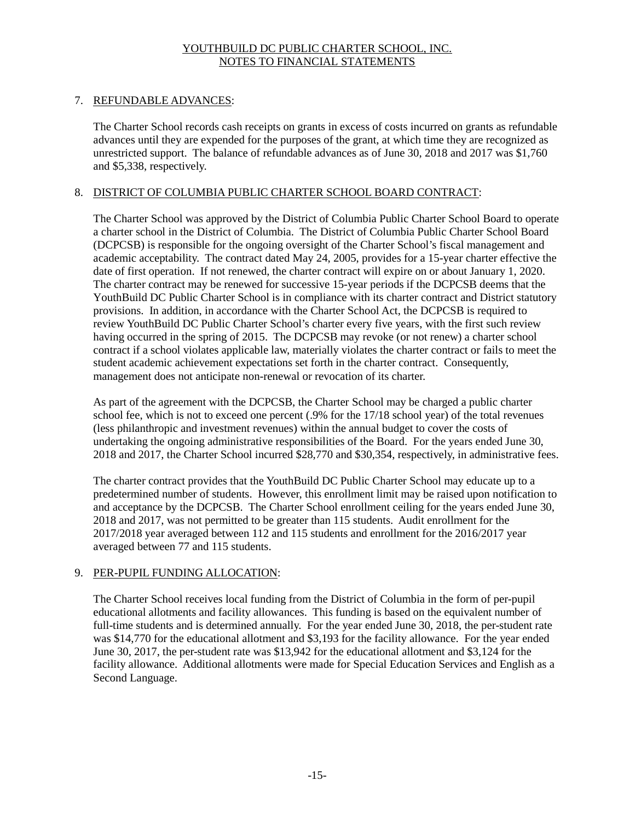## 7. REFUNDABLE ADVANCES:

The Charter School records cash receipts on grants in excess of costs incurred on grants as refundable advances until they are expended for the purposes of the grant, at which time they are recognized as unrestricted support. The balance of refundable advances as of June 30, 2018 and 2017 was \$1,760 and \$5,338, respectively.

## 8. DISTRICT OF COLUMBIA PUBLIC CHARTER SCHOOL BOARD CONTRACT:

The Charter School was approved by the District of Columbia Public Charter School Board to operate a charter school in the District of Columbia. The District of Columbia Public Charter School Board (DCPCSB) is responsible for the ongoing oversight of the Charter School's fiscal management and academic acceptability. The contract dated May 24, 2005, provides for a 15-year charter effective the date of first operation. If not renewed, the charter contract will expire on or about January 1, 2020. The charter contract may be renewed for successive 15-year periods if the DCPCSB deems that the YouthBuild DC Public Charter School is in compliance with its charter contract and District statutory provisions. In addition, in accordance with the Charter School Act, the DCPCSB is required to review YouthBuild DC Public Charter School's charter every five years, with the first such review having occurred in the spring of 2015. The DCPCSB may revoke (or not renew) a charter school contract if a school violates applicable law, materially violates the charter contract or fails to meet the student academic achievement expectations set forth in the charter contract. Consequently, management does not anticipate non-renewal or revocation of its charter.

As part of the agreement with the DCPCSB, the Charter School may be charged a public charter school fee, which is not to exceed one percent (.9% for the 17/18 school year) of the total revenues (less philanthropic and investment revenues) within the annual budget to cover the costs of undertaking the ongoing administrative responsibilities of the Board. For the years ended June 30, 2018 and 2017, the Charter School incurred \$28,770 and \$30,354, respectively, in administrative fees.

The charter contract provides that the YouthBuild DC Public Charter School may educate up to a predetermined number of students. However, this enrollment limit may be raised upon notification to and acceptance by the DCPCSB. The Charter School enrollment ceiling for the years ended June 30, 2018 and 2017, was not permitted to be greater than 115 students. Audit enrollment for the 2017/2018 year averaged between 112 and 115 students and enrollment for the 2016/2017 year averaged between 77 and 115 students.

# 9. PER-PUPIL FUNDING ALLOCATION:

The Charter School receives local funding from the District of Columbia in the form of per-pupil educational allotments and facility allowances. This funding is based on the equivalent number of full-time students and is determined annually. For the year ended June 30, 2018, the per-student rate was \$14,770 for the educational allotment and \$3,193 for the facility allowance. For the year ended June 30, 2017, the per-student rate was \$13,942 for the educational allotment and \$3,124 for the facility allowance. Additional allotments were made for Special Education Services and English as a Second Language.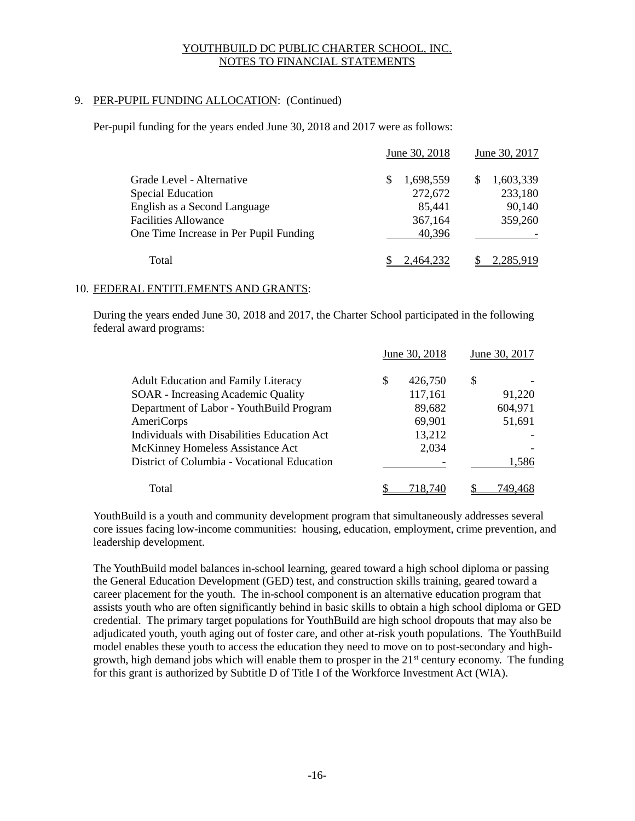# 9. PER-PUPIL FUNDING ALLOCATION: (Continued)

Per-pupil funding for the years ended June 30, 2018 and 2017 were as follows:

|                                        | June 30, 2018 | June 30, 2017 |  |  |
|----------------------------------------|---------------|---------------|--|--|
| Grade Level - Alternative              | 1,698,559     | 1,603,339     |  |  |
| <b>Special Education</b>               | 272,672       | 233,180       |  |  |
| English as a Second Language           | 85,441        | 90,140        |  |  |
| <b>Facilities Allowance</b>            | 367,164       | 359,260       |  |  |
| One Time Increase in Per Pupil Funding | 40,396        |               |  |  |
| Total                                  |               |               |  |  |

## 10. FEDERAL ENTITLEMENTS AND GRANTS:

During the years ended June 30, 2018 and 2017, the Charter School participated in the following federal award programs:

|                                             |    | June 30, 2018 |    | June 30, 2017 |  |
|---------------------------------------------|----|---------------|----|---------------|--|
| <b>Adult Education and Family Literacy</b>  | \$ | 426,750       | \$ |               |  |
| SOAR - Increasing Academic Quality          |    | 117,161       |    | 91,220        |  |
| Department of Labor - YouthBuild Program    |    | 89,682        |    | 604,971       |  |
| AmeriCorps                                  |    | 69,901        |    | 51,691        |  |
| Individuals with Disabilities Education Act |    | 13,212        |    |               |  |
| McKinney Homeless Assistance Act            |    | 2,034         |    |               |  |
| District of Columbia - Vocational Education |    |               |    | 1,586         |  |
| Total                                       |    | 718.740       |    | 749.468       |  |

YouthBuild is a youth and community development program that simultaneously addresses several core issues facing low-income communities: housing, education, employment, crime prevention, and leadership development.

The YouthBuild model balances in-school learning, geared toward a high school diploma or passing the General Education Development (GED) test, and construction skills training, geared toward a career placement for the youth. The in-school component is an alternative education program that assists youth who are often significantly behind in basic skills to obtain a high school diploma or GED credential. The primary target populations for YouthBuild are high school dropouts that may also be adjudicated youth, youth aging out of foster care, and other at-risk youth populations. The YouthBuild model enables these youth to access the education they need to move on to post-secondary and highgrowth, high demand jobs which will enable them to prosper in the  $21<sup>st</sup>$  century economy. The funding for this grant is authorized by Subtitle D of Title I of the Workforce Investment Act (WIA).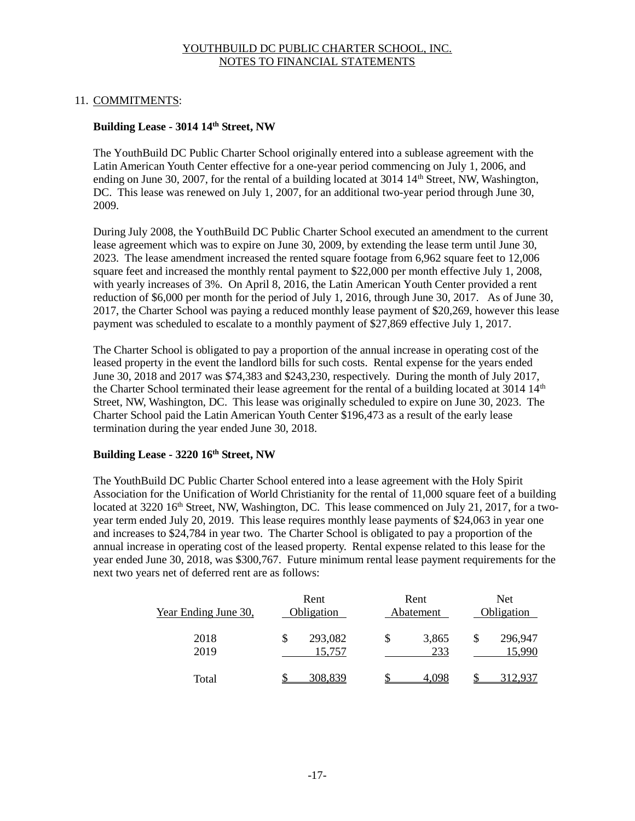## 11. COMMITMENTS:

## **Building Lease - 3014 14th Street, NW**

The YouthBuild DC Public Charter School originally entered into a sublease agreement with the Latin American Youth Center effective for a one-year period commencing on July 1, 2006, and ending on June 30, 2007, for the rental of a building located at  $3014 \, 14$ <sup>th</sup> Street, NW, Washington, DC. This lease was renewed on July 1, 2007, for an additional two-year period through June 30, 2009.

During July 2008, the YouthBuild DC Public Charter School executed an amendment to the current lease agreement which was to expire on June 30, 2009, by extending the lease term until June 30, 2023. The lease amendment increased the rented square footage from 6,962 square feet to 12,006 square feet and increased the monthly rental payment to \$22,000 per month effective July 1, 2008, with yearly increases of 3%. On April 8, 2016, the Latin American Youth Center provided a rent reduction of \$6,000 per month for the period of July 1, 2016, through June 30, 2017. As of June 30, 2017, the Charter School was paying a reduced monthly lease payment of \$20,269, however this lease payment was scheduled to escalate to a monthly payment of \$27,869 effective July 1, 2017.

The Charter School is obligated to pay a proportion of the annual increase in operating cost of the leased property in the event the landlord bills for such costs. Rental expense for the years ended June 30, 2018 and 2017 was \$74,383 and \$243,230, respectively. During the month of July 2017, the Charter School terminated their lease agreement for the rental of a building located at  $3014 \, 14<sup>th</sup>$ Street, NW, Washington, DC. This lease was originally scheduled to expire on June 30, 2023. The Charter School paid the Latin American Youth Center \$196,473 as a result of the early lease termination during the year ended June 30, 2018.

# **Building Lease - 3220 16th Street, NW**

The YouthBuild DC Public Charter School entered into a lease agreement with the Holy Spirit Association for the Unification of World Christianity for the rental of 11,000 square feet of a building located at 3220 16<sup>th</sup> Street, NW, Washington, DC. This lease commenced on July 21, 2017, for a twoyear term ended July 20, 2019. This lease requires monthly lease payments of \$24,063 in year one and increases to \$24,784 in year two. The Charter School is obligated to pay a proportion of the annual increase in operating cost of the leased property. Rental expense related to this lease for the year ended June 30, 2018, was \$300,767. Future minimum rental lease payment requirements for the next two years net of deferred rent are as follows:

| Year Ending June 30, | Rent<br>Obligation      | Rent<br>Abatement  | Net<br>Obligation |                   |  |  |  |
|----------------------|-------------------------|--------------------|-------------------|-------------------|--|--|--|
| 2018<br>2019         | \$<br>293,082<br>15,757 | \$<br>3,865<br>233 | S                 | 296,947<br>15,990 |  |  |  |
| Total                | 308,839                 | 4.098              |                   | 312.937           |  |  |  |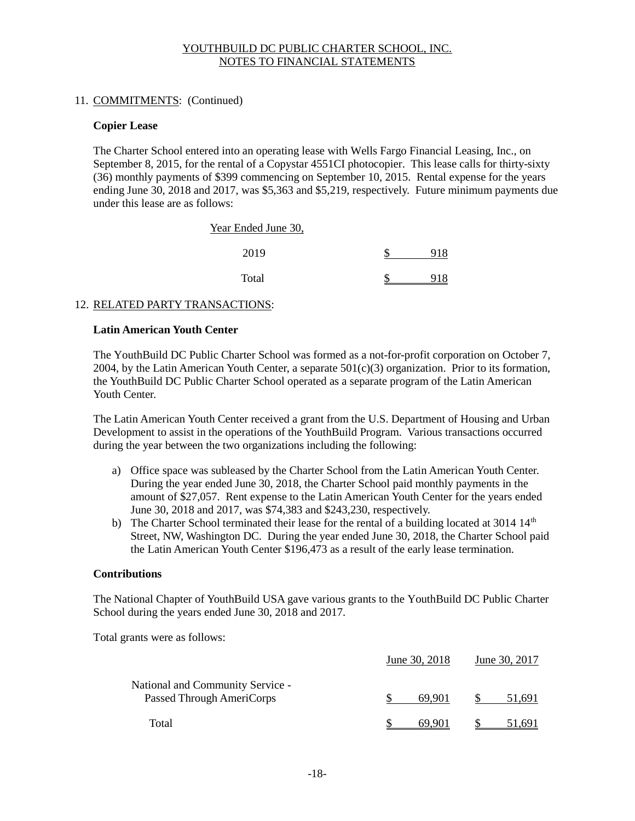## 11. COMMITMENTS: (Continued)

## **Copier Lease**

The Charter School entered into an operating lease with Wells Fargo Financial Leasing, Inc., on September 8, 2015, for the rental of a Copystar 4551CI photocopier. This lease calls for thirty-sixty (36) monthly payments of \$399 commencing on September 10, 2015. Rental expense for the years ending June 30, 2018 and 2017, was \$5,363 and \$5,219, respectively. Future minimum payments due under this lease are as follows:

| Year Ended June 30, |  |
|---------------------|--|
| 2019                |  |
| Total               |  |

## 12. RELATED PARTY TRANSACTIONS:

#### **Latin American Youth Center**

The YouthBuild DC Public Charter School was formed as a not-for-profit corporation on October 7, 2004, by the Latin American Youth Center, a separate  $501(c)(3)$  organization. Prior to its formation, the YouthBuild DC Public Charter School operated as a separate program of the Latin American Youth Center.

The Latin American Youth Center received a grant from the U.S. Department of Housing and Urban Development to assist in the operations of the YouthBuild Program. Various transactions occurred during the year between the two organizations including the following:

- a) Office space was subleased by the Charter School from the Latin American Youth Center. During the year ended June 30, 2018, the Charter School paid monthly payments in the amount of \$27,057. Rent expense to the Latin American Youth Center for the years ended June 30, 2018 and 2017, was \$74,383 and \$243,230, respectively.
- b) The Charter School terminated their lease for the rental of a building located at  $3014\,14<sup>th</sup>$ Street, NW, Washington DC. During the year ended June 30, 2018, the Charter School paid the Latin American Youth Center \$196,473 as a result of the early lease termination.

## **Contributions**

The National Chapter of YouthBuild USA gave various grants to the YouthBuild DC Public Charter School during the years ended June 30, 2018 and 2017.

Total grants were as follows:

|                                                                      | June 30, 2018 | June 30, 2017 |  |  |  |  |
|----------------------------------------------------------------------|---------------|---------------|--|--|--|--|
| <b>National and Community Service -</b><br>Passed Through AmeriCorps | 69.901        | 51.691        |  |  |  |  |
| Total                                                                | 69.901        | 51.691        |  |  |  |  |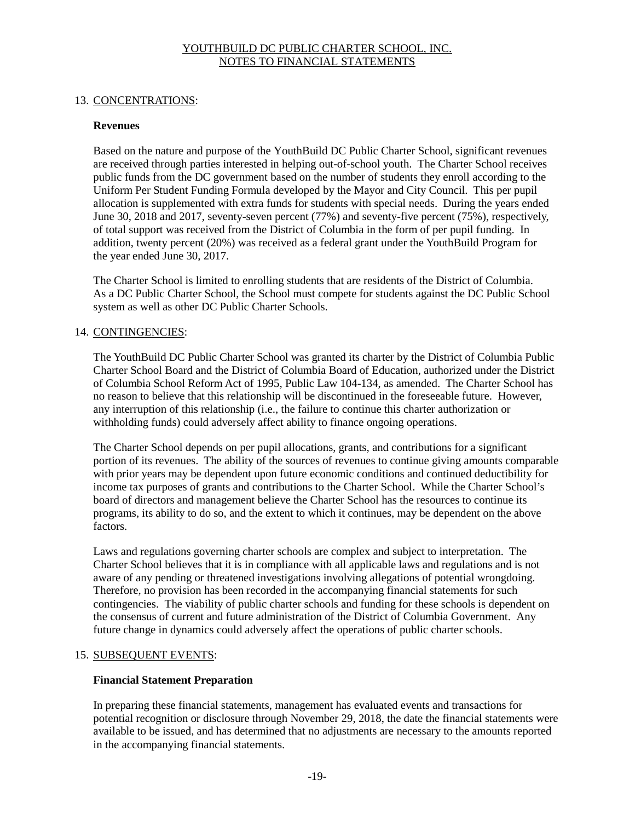#### 13. CONCENTRATIONS:

#### **Revenues**

Based on the nature and purpose of the YouthBuild DC Public Charter School, significant revenues are received through parties interested in helping out-of-school youth. The Charter School receives public funds from the DC government based on the number of students they enroll according to the Uniform Per Student Funding Formula developed by the Mayor and City Council. This per pupil allocation is supplemented with extra funds for students with special needs. During the years ended June 30, 2018 and 2017, seventy-seven percent (77%) and seventy-five percent (75%), respectively, of total support was received from the District of Columbia in the form of per pupil funding. In addition, twenty percent (20%) was received as a federal grant under the YouthBuild Program for the year ended June 30, 2017.

The Charter School is limited to enrolling students that are residents of the District of Columbia. As a DC Public Charter School, the School must compete for students against the DC Public School system as well as other DC Public Charter Schools.

## 14. CONTINGENCIES:

The YouthBuild DC Public Charter School was granted its charter by the District of Columbia Public Charter School Board and the District of Columbia Board of Education, authorized under the District of Columbia School Reform Act of 1995, Public Law 104-134, as amended. The Charter School has no reason to believe that this relationship will be discontinued in the foreseeable future. However, any interruption of this relationship (i.e., the failure to continue this charter authorization or withholding funds) could adversely affect ability to finance ongoing operations.

The Charter School depends on per pupil allocations, grants, and contributions for a significant portion of its revenues. The ability of the sources of revenues to continue giving amounts comparable with prior years may be dependent upon future economic conditions and continued deductibility for income tax purposes of grants and contributions to the Charter School. While the Charter School's board of directors and management believe the Charter School has the resources to continue its programs, its ability to do so, and the extent to which it continues, may be dependent on the above factors.

Laws and regulations governing charter schools are complex and subject to interpretation. The Charter School believes that it is in compliance with all applicable laws and regulations and is not aware of any pending or threatened investigations involving allegations of potential wrongdoing. Therefore, no provision has been recorded in the accompanying financial statements for such contingencies. The viability of public charter schools and funding for these schools is dependent on the consensus of current and future administration of the District of Columbia Government. Any future change in dynamics could adversely affect the operations of public charter schools.

## 15. SUBSEQUENT EVENTS:

## **Financial Statement Preparation**

In preparing these financial statements, management has evaluated events and transactions for potential recognition or disclosure through November 29, 2018, the date the financial statements were available to be issued, and has determined that no adjustments are necessary to the amounts reported in the accompanying financial statements.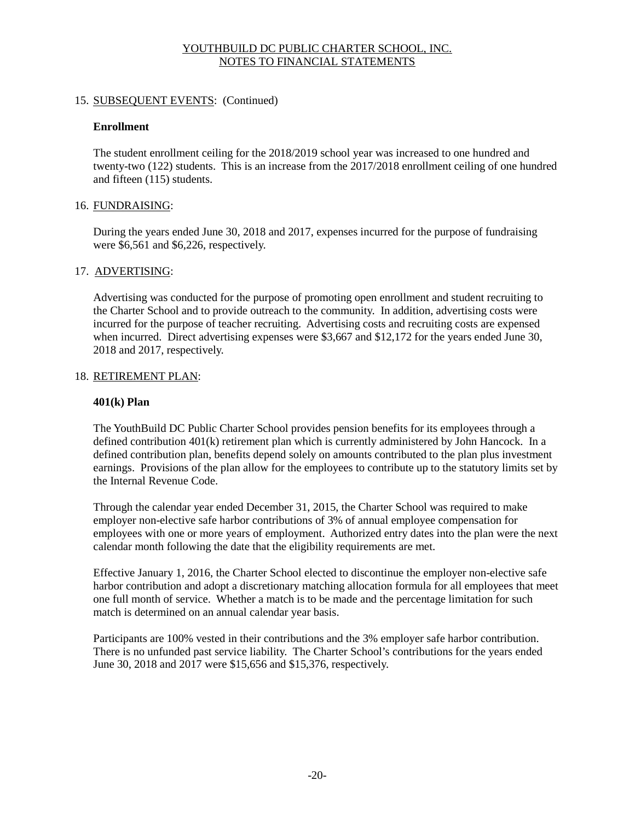## 15. SUBSEQUENT EVENTS: (Continued)

## **Enrollment**

The student enrollment ceiling for the 2018/2019 school year was increased to one hundred and twenty-two (122) students. This is an increase from the 2017/2018 enrollment ceiling of one hundred and fifteen (115) students.

## 16. FUNDRAISING:

During the years ended June 30, 2018 and 2017, expenses incurred for the purpose of fundraising were \$6,561 and \$6,226, respectively.

## 17. ADVERTISING:

Advertising was conducted for the purpose of promoting open enrollment and student recruiting to the Charter School and to provide outreach to the community. In addition, advertising costs were incurred for the purpose of teacher recruiting. Advertising costs and recruiting costs are expensed when incurred. Direct advertising expenses were \$3,667 and \$12,172 for the years ended June 30, 2018 and 2017, respectively.

## 18. RETIREMENT PLAN:

## **401(k) Plan**

The YouthBuild DC Public Charter School provides pension benefits for its employees through a defined contribution 401(k) retirement plan which is currently administered by John Hancock. In a defined contribution plan, benefits depend solely on amounts contributed to the plan plus investment earnings. Provisions of the plan allow for the employees to contribute up to the statutory limits set by the Internal Revenue Code.

Through the calendar year ended December 31, 2015, the Charter School was required to make employer non-elective safe harbor contributions of 3% of annual employee compensation for employees with one or more years of employment. Authorized entry dates into the plan were the next calendar month following the date that the eligibility requirements are met.

Effective January 1, 2016, the Charter School elected to discontinue the employer non-elective safe harbor contribution and adopt a discretionary matching allocation formula for all employees that meet one full month of service. Whether a match is to be made and the percentage limitation for such match is determined on an annual calendar year basis.

Participants are 100% vested in their contributions and the 3% employer safe harbor contribution. There is no unfunded past service liability. The Charter School's contributions for the years ended June 30, 2018 and 2017 were \$15,656 and \$15,376, respectively.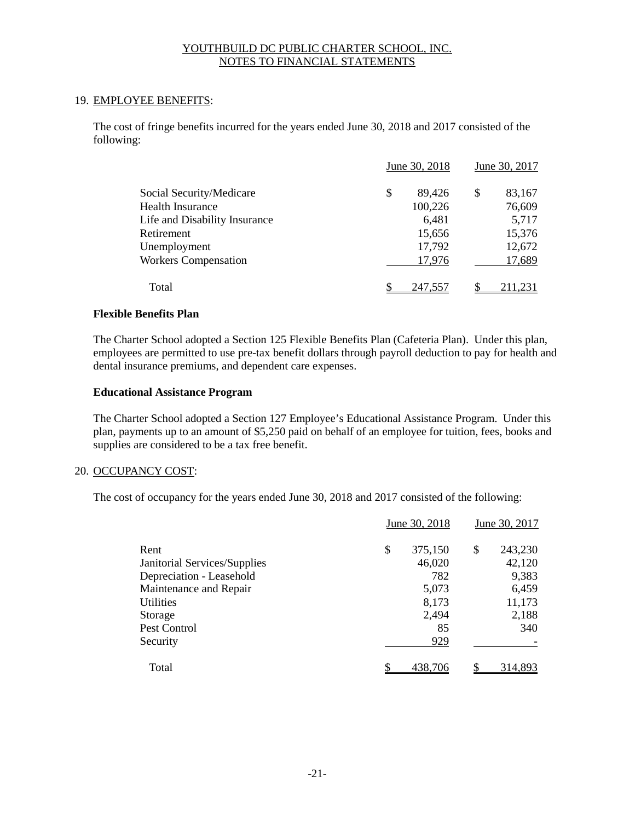#### 19. EMPLOYEE BENEFITS:

The cost of fringe benefits incurred for the years ended June 30, 2018 and 2017 consisted of the following:

|                               | June 30, 2018 | June 30, 2017 |        |  |  |
|-------------------------------|---------------|---------------|--------|--|--|
| Social Security/Medicare      | \$<br>89,426  | \$            | 83,167 |  |  |
| <b>Health Insurance</b>       | 100,226       |               | 76,609 |  |  |
| Life and Disability Insurance | 6,481         |               | 5,717  |  |  |
| Retirement                    | 15,656        |               | 15,376 |  |  |
| Unemployment                  | 17,792        |               | 12,672 |  |  |
| <b>Workers Compensation</b>   | 17,976        |               | 17,689 |  |  |
| Total                         | 247.557       |               |        |  |  |

#### **Flexible Benefits Plan**

The Charter School adopted a Section 125 Flexible Benefits Plan (Cafeteria Plan). Under this plan, employees are permitted to use pre-tax benefit dollars through payroll deduction to pay for health and dental insurance premiums, and dependent care expenses.

#### **Educational Assistance Program**

The Charter School adopted a Section 127 Employee's Educational Assistance Program. Under this plan, payments up to an amount of \$5,250 paid on behalf of an employee for tuition, fees, books and supplies are considered to be a tax free benefit.

#### 20. OCCUPANCY COST:

The cost of occupancy for the years ended June 30, 2018 and 2017 consisted of the following:

|                              | June 30, 2017<br>June 30, 2018 |         |    |         |  |  |  |  |
|------------------------------|--------------------------------|---------|----|---------|--|--|--|--|
| Rent                         | \$                             | 375,150 | \$ | 243,230 |  |  |  |  |
| Janitorial Services/Supplies |                                | 46,020  |    | 42,120  |  |  |  |  |
| Depreciation - Leasehold     |                                | 782     |    | 9,383   |  |  |  |  |
| Maintenance and Repair       |                                | 5,073   |    | 6,459   |  |  |  |  |
| <b>Utilities</b>             |                                | 8,173   |    | 11,173  |  |  |  |  |
| Storage                      |                                | 2,494   |    | 2,188   |  |  |  |  |
| Pest Control                 |                                | 85      |    | 340     |  |  |  |  |
| Security                     |                                | 929     |    |         |  |  |  |  |
| Total                        | \$                             | 438,706 |    | 314,893 |  |  |  |  |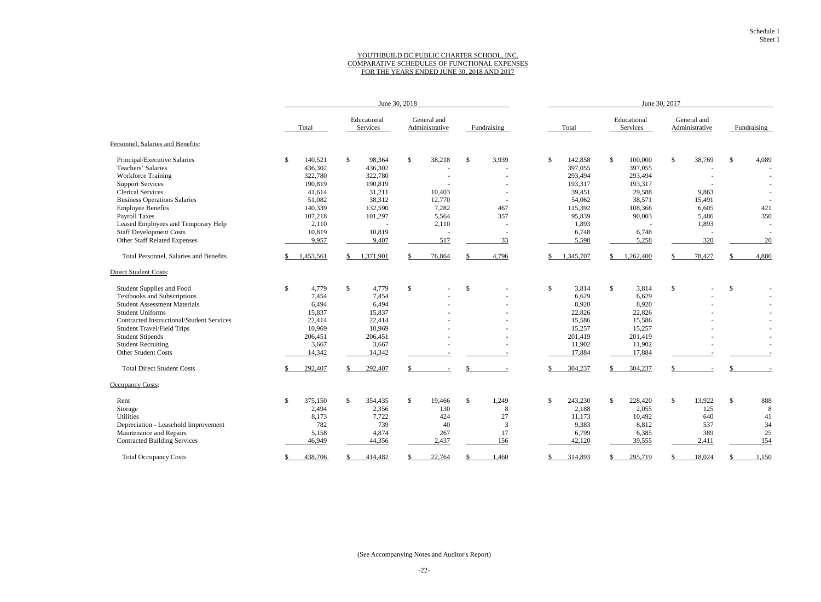#### YOUTHBUILD DC PUBLIC CHARTER SCHOOL, INC. COMPARATIVE SCHEDULES OF FUNCTIONAL EXPENSES FOR THE YEARS ENDED JUNE 30, 2018 AND 2017

|                                                  |                          | June 30, 2018           |         |              |                               |               |                          |               |           | June 30, 2017 |                         |    |                               |      |                          |  |  |  |
|--------------------------------------------------|--------------------------|-------------------------|---------|--------------|-------------------------------|---------------|--------------------------|---------------|-----------|---------------|-------------------------|----|-------------------------------|------|--------------------------|--|--|--|
|                                                  | Total                    | Educational<br>Services |         |              | General and<br>Administrative |               | Fundraising              |               | Total     |               | Educational<br>Services |    | General and<br>Administrative |      | Fundraising              |  |  |  |
| Personnel, Salaries and Benefits:                |                          |                         |         |              |                               |               |                          |               |           |               |                         |    |                               |      |                          |  |  |  |
| Principal/Executive Salaries                     | 140,521<br>S.            | $\mathbb{S}$            | 98,364  | \$           | 38,218                        | -S            | 3,939                    | \$            | 142,858   | \$            | 100,000                 | \$ | 38,769                        | \$   | 4,089                    |  |  |  |
| Teachers' Salaries                               | 436,302                  |                         | 436,302 |              |                               |               |                          |               | 397,055   |               | 397,055                 |    |                               |      |                          |  |  |  |
| <b>Workforce Training</b>                        | 322,780                  |                         | 322,780 |              |                               |               |                          |               | 293,494   |               | 293,494                 |    |                               |      |                          |  |  |  |
| <b>Support Services</b>                          | 190,819                  |                         | 190,819 |              |                               |               |                          |               | 193,317   |               | 193,317                 |    |                               |      |                          |  |  |  |
| <b>Clerical Services</b>                         | 41,614                   |                         | 31,211  |              | 10,403                        |               |                          |               | 39,451    |               | 29,588                  |    | 9,863                         |      |                          |  |  |  |
| <b>Business Operations Salaries</b>              | 51,082                   |                         | 38,312  |              | 12,770                        |               |                          |               | 54,062    |               | 38,571                  |    | 15,491                        |      |                          |  |  |  |
| <b>Employee Benefits</b>                         | 140,339                  |                         | 132,590 |              | 7,282                         |               | 467                      |               | 115,392   |               | 108,366                 |    | 6,605                         |      | 421                      |  |  |  |
| <b>Payroll Taxes</b>                             | 107,218                  |                         | 101,297 |              | 5,564                         |               | 357                      |               | 95,839    |               | 90,003                  |    | 5,486                         |      | 350                      |  |  |  |
| Leased Employees and Temporary Help              | 2,110                    |                         |         |              | 2,110                         |               |                          |               | 1,893     |               |                         |    | 1,893                         |      |                          |  |  |  |
| <b>Staff Development Costs</b>                   | 10,819                   |                         | 10,819  |              |                               |               | $\overline{\phantom{a}}$ |               | 6,748     |               | 6,748                   |    |                               |      | $\overline{\phantom{a}}$ |  |  |  |
| Other Staff Related Expenses                     | 9,957                    |                         | 9,407   |              | 517                           |               | 33                       |               | 5,598     |               | 5,258                   |    | 320                           |      | 20                       |  |  |  |
| Total Personnel, Salaries and Benefits           | 1,453,561                | \$1,371,901             |         |              | 76,864                        |               | 4,796                    |               | 1,345,707 | \$            | 1,262,400               |    | 78,427                        |      | 4,880                    |  |  |  |
| Direct Student Costs:                            |                          |                         |         |              |                               |               |                          |               |           |               |                         |    |                               |      |                          |  |  |  |
| <b>Student Supplies and Food</b>                 | 4,779<br>\$              | $\mathbb{S}$            | 4,779   | \$           |                               | $\mathcal{S}$ |                          | \$            | 3,814     | \$            | 3,814                   | \$ |                               | $\$$ |                          |  |  |  |
| <b>Textbooks and Subscriptions</b>               | 7,454                    |                         | 7,454   |              |                               |               |                          |               | 6,629     |               | 6,629                   |    |                               |      |                          |  |  |  |
| <b>Student Assessment Materials</b>              | 6,494                    |                         | 6,494   |              |                               |               |                          |               | 8,920     |               | 8,920                   |    |                               |      |                          |  |  |  |
| <b>Student Uniforms</b>                          | 15,837                   |                         | 15,837  |              |                               |               |                          |               | 22,826    |               | 22,826                  |    |                               |      |                          |  |  |  |
| <b>Contracted Instructional/Student Services</b> | 22,414                   |                         | 22,414  |              |                               |               |                          |               | 15,586    |               | 15,586                  |    |                               |      |                          |  |  |  |
| <b>Student Travel/Field Trips</b>                | 10,969                   |                         | 10,969  |              |                               |               |                          |               | 15,257    |               | 15,257                  |    |                               |      |                          |  |  |  |
| <b>Student Stipends</b>                          | 206,451                  |                         | 206,451 |              |                               |               |                          |               | 201,419   |               | 201,419                 |    |                               |      |                          |  |  |  |
| <b>Student Recruiting</b>                        | 3,667                    |                         | 3,667   |              |                               |               |                          |               | 11,902    |               | 11,902                  |    |                               |      |                          |  |  |  |
| Other Student Costs                              | 14,342                   |                         | 14,342  |              |                               |               |                          |               | 17,884    |               | 17,884                  |    |                               |      |                          |  |  |  |
| <b>Total Direct Student Costs</b>                | 292,407                  |                         | 292,407 |              |                               |               |                          |               | 304,237   |               | 304,237                 |    |                               |      |                          |  |  |  |
| <b>Occupancy Costs:</b>                          |                          |                         |         |              |                               |               |                          |               |           |               |                         |    |                               |      |                          |  |  |  |
| Rent                                             | 375,150<br>$\mathcal{S}$ | <sup>\$</sup>           | 354,435 | $\mathbb{S}$ | 19,466                        | $\mathbb{S}$  | 1,249                    | $\mathcal{S}$ | 243,230   | $\mathbb{S}$  | 228,420                 | \$ | 13,922                        | \$   | 888                      |  |  |  |
| Storage                                          | 2,494                    |                         | 2,356   |              | 130                           |               | 8                        |               | 2,188     |               | 2,055                   |    | 125                           |      | $\mathbf{R}$             |  |  |  |
| Utilities                                        | 8,173                    |                         | 7,722   |              | 424                           |               | 27                       |               | 11,173    |               | 10,492                  |    | 640                           |      | 41                       |  |  |  |
| Depreciation - Leasehold Improvement             | 782                      |                         | 739     |              | 40                            |               | 3                        |               | 9,383     |               | 8,812                   |    | 537                           |      | 34                       |  |  |  |
| Maintenance and Repairs                          | 5,158                    |                         | 4,874   |              | 267                           |               | 17                       |               | 6,799     |               | 6,385                   |    | 389                           |      | 25                       |  |  |  |
| <b>Contracted Building Services</b>              | 46,949                   |                         | 44,356  |              | 2,437                         |               | 156                      |               | 42,120    |               | 39,555                  |    | 2,411                         |      | 154                      |  |  |  |
| <b>Total Occupancy Costs</b>                     | 438,706                  |                         | 414,482 |              | 22,764                        |               | 1,460                    |               | 314,893   |               | 295,719                 |    | 18,024                        |      | 1,150                    |  |  |  |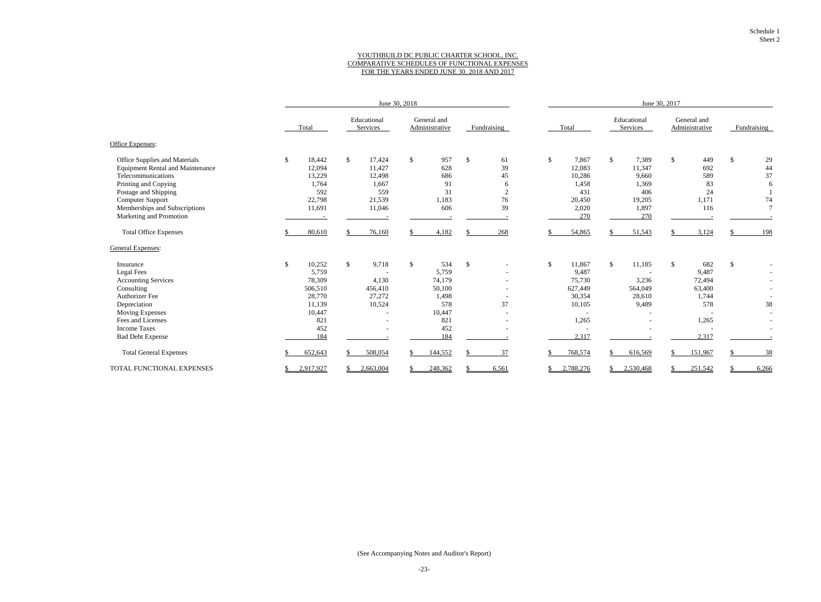#### YOUTHBUILD DC PUBLIC CHARTER SCHOOL, INC. COMPARATIVE SCHEDULES OF FUNCTIONAL EXPENSES FOR THE YEARS ENDED JUNE 30, 2018 AND 2017

|                                         |              | June 30, 2018 |              |                         |              |                               |              |             |              |           | June 30, 2017 |                         |                               |         |    |                          |  |  |
|-----------------------------------------|--------------|---------------|--------------|-------------------------|--------------|-------------------------------|--------------|-------------|--------------|-----------|---------------|-------------------------|-------------------------------|---------|----|--------------------------|--|--|
|                                         |              | Total         |              | Educational<br>Services |              | General and<br>Administrative |              | Fundraising |              | Total     |               | Educational<br>Services | General and<br>Administrative |         |    | Fundraising              |  |  |
| Office Expenses:                        |              |               |              |                         |              |                               |              |             |              |           |               |                         |                               |         |    |                          |  |  |
| Office Supplies and Materials           | <sup>S</sup> | 18,442        | $\mathbb{S}$ | 17,424                  | \$           | 957                           | $\mathbb{S}$ | 61          | \$           | 7,867     | \$            | 7,389                   | $\mathbb{S}$                  | 449     | \$ | 29                       |  |  |
| <b>Equipment Rental and Maintenance</b> |              | 12,094        |              | 11,427                  |              | 628                           |              | 39          |              | 12,083    |               | 11,347                  |                               | 692     |    | 44                       |  |  |
| Telecommunications                      |              | 13,229        |              | 12,498                  |              | 686                           |              | 45          |              | 10,286    |               | 9,660                   |                               | 589     |    | 37                       |  |  |
| Printing and Copying                    |              | 1,764         |              | 1,667                   |              | 91                            |              | 6           |              | 1,458     |               | 1,369                   |                               | 83      |    | 6                        |  |  |
| Postage and Shipping                    |              | 592           |              | 559                     |              | 31                            |              | 2           |              | 431       |               | 406                     |                               | 24      |    |                          |  |  |
| Computer Support                        |              | 22,798        |              | 21,539                  |              | 1,183                         |              | 76          |              | 20,450    |               | 19,205                  |                               | 1,171   |    | 74                       |  |  |
| Memberships and Subscriptions           |              | 11,691        |              | 11,046                  |              | 606                           |              | 39          |              | 2,020     |               | 1,897                   |                               | 116     |    |                          |  |  |
| Marketing and Promotion                 |              |               |              |                         |              |                               |              |             |              | 270       |               | 270                     |                               |         |    |                          |  |  |
| <b>Total Office Expenses</b>            |              | 80,610        |              | 76,160                  |              | 4,182                         |              | 268         |              | 54,865    | \$            | 51,543                  |                               | 3,124   |    | 198                      |  |  |
| General Expenses:                       |              |               |              |                         |              |                               |              |             |              |           |               |                         |                               |         |    |                          |  |  |
| Insurance                               | $\mathbb{S}$ | 10,252        | $\mathbb{S}$ | 9,718                   | $\mathbb{S}$ | 534                           | $\mathbb{S}$ |             | $\mathbb{S}$ | 11,867    | $\mathbb{S}$  | 11,185                  | $\mathbb{S}$                  | 682     | \$ |                          |  |  |
| Legal Fees                              |              | 5,759         |              |                         |              | 5,759                         |              |             |              | 9,487     |               |                         |                               | 9,487   |    |                          |  |  |
| <b>Accounting Services</b>              |              | 78,309        |              | 4,130                   |              | 74,179                        |              |             |              | 75,730    |               | 3,236                   |                               | 72,494  |    | $\overline{\phantom{0}}$ |  |  |
| Consulting                              |              | 506,510       |              | 456,410                 |              | 50,100                        |              |             |              | 627,449   |               | 564,049                 |                               | 63,400  |    | $\overline{\phantom{a}}$ |  |  |
| Authorizer Fee                          |              | 28,770        |              | 27,272                  |              | 1,498                         |              |             |              | 30,354    |               | 28,610                  |                               | 1,744   |    |                          |  |  |
| Depreciation                            |              | 11,139        |              | 10,524                  |              | 578                           |              | 37          |              | 10,105    |               | 9,489                   |                               | 578     |    | 38                       |  |  |
| <b>Moving Expenses</b>                  |              | 10,447        |              |                         |              | 10,447                        |              |             |              |           |               |                         |                               |         |    | $\overline{\phantom{a}}$ |  |  |
| Fees and Licenses                       |              | 821           |              |                         |              | 821                           |              |             |              | 1,265     |               |                         |                               | 1,265   |    |                          |  |  |
| <b>Income Taxes</b>                     |              | 452           |              |                         |              | 452                           |              |             |              |           |               |                         |                               |         |    |                          |  |  |
| <b>Bad Debt Expense</b>                 |              | 184           |              |                         |              | 184                           |              |             |              | 2,317     |               |                         |                               | 2,317   |    |                          |  |  |
| <b>Total General Expenses</b>           |              | 652,643       |              | 508,054                 |              | 144,552                       |              | 37          |              | 768,574   |               | 616,569                 |                               | 151,967 |    | 38                       |  |  |
| TOTAL FUNCTIONAL EXPENSES               |              | 2,917,927     |              | 2,663,004               |              | 248,362                       |              | 6,561       |              | 2,788,276 |               | 2,530,468               |                               | 251,542 |    | 6,266                    |  |  |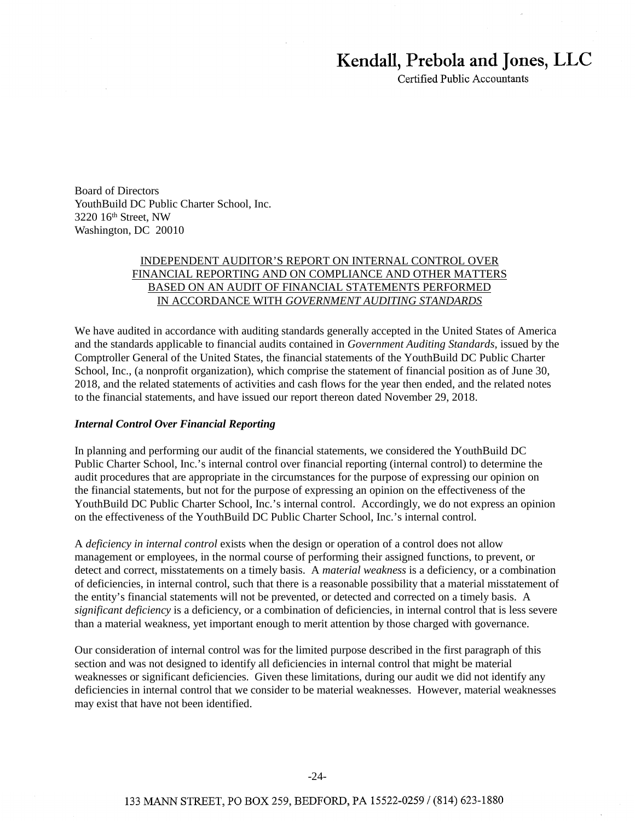# Kendall, Prebola and Jones, LLC

Certified Public Accountants

Board of Directors YouthBuild DC Public Charter School, Inc. 3220 16th Street, NW Washington, DC 20010

## INDEPENDENT AUDITOR'S REPORT ON INTERNAL CONTROL OVER FINANCIAL REPORTING AND ON COMPLIANCE AND OTHER MATTERS BASED ON AN AUDIT OF FINANCIAL STATEMENTS PERFORMED IN ACCORDANCE WITH *GOVERNMENT AUDITING STANDARDS*

We have audited in accordance with auditing standards generally accepted in the United States of America and the standards applicable to financial audits contained in *Government Auditing Standards*, issued by the Comptroller General of the United States, the financial statements of the YouthBuild DC Public Charter School, Inc., (a nonprofit organization), which comprise the statement of financial position as of June 30, 2018, and the related statements of activities and cash flows for the year then ended, and the related notes to the financial statements, and have issued our report thereon dated November 29, 2018.

#### *Internal Control Over Financial Reporting*

In planning and performing our audit of the financial statements, we considered the YouthBuild DC Public Charter School, Inc.'s internal control over financial reporting (internal control) to determine the audit procedures that are appropriate in the circumstances for the purpose of expressing our opinion on the financial statements, but not for the purpose of expressing an opinion on the effectiveness of the YouthBuild DC Public Charter School, Inc.'s internal control. Accordingly, we do not express an opinion on the effectiveness of the YouthBuild DC Public Charter School, Inc.'s internal control.

A *deficiency in internal control* exists when the design or operation of a control does not allow management or employees, in the normal course of performing their assigned functions, to prevent, or detect and correct, misstatements on a timely basis. A *material weakness* is a deficiency, or a combination of deficiencies, in internal control, such that there is a reasonable possibility that a material misstatement of the entity's financial statements will not be prevented, or detected and corrected on a timely basis. A *significant deficiency* is a deficiency, or a combination of deficiencies, in internal control that is less severe than a material weakness, yet important enough to merit attention by those charged with governance.

Our consideration of internal control was for the limited purpose described in the first paragraph of this section and was not designed to identify all deficiencies in internal control that might be material weaknesses or significant deficiencies. Given these limitations, during our audit we did not identify any deficiencies in internal control that we consider to be material weaknesses. However, material weaknesses may exist that have not been identified.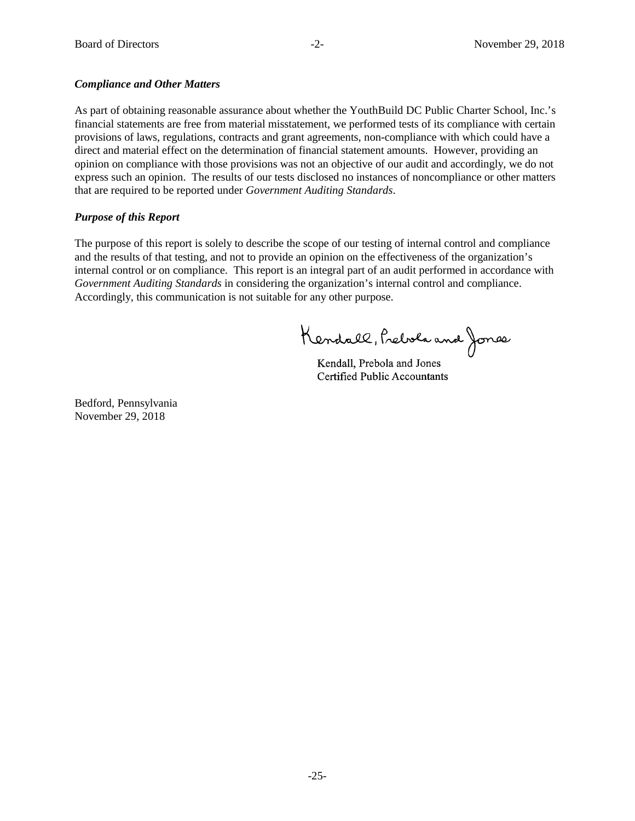## *Compliance and Other Matters*

As part of obtaining reasonable assurance about whether the YouthBuild DC Public Charter School, Inc.'s financial statements are free from material misstatement, we performed tests of its compliance with certain provisions of laws, regulations, contracts and grant agreements, non-compliance with which could have a direct and material effect on the determination of financial statement amounts. However, providing an opinion on compliance with those provisions was not an objective of our audit and accordingly, we do not express such an opinion. The results of our tests disclosed no instances of noncompliance or other matters that are required to be reported under *Government Auditing Standards*.

## *Purpose of this Report*

The purpose of this report is solely to describe the scope of our testing of internal control and compliance and the results of that testing, and not to provide an opinion on the effectiveness of the organization's internal control or on compliance. This report is an integral part of an audit performed in accordance with *Government Auditing Standards* in considering the organization's internal control and compliance. Accordingly, this communication is not suitable for any other purpose.

Kendall, Prebola and Jones

Kendall, Prebola and Jones Kendall, Prebola and Jones Certified Public Accountants Certified Public Accountants

Bedford, Pennsylvania November 29, 2018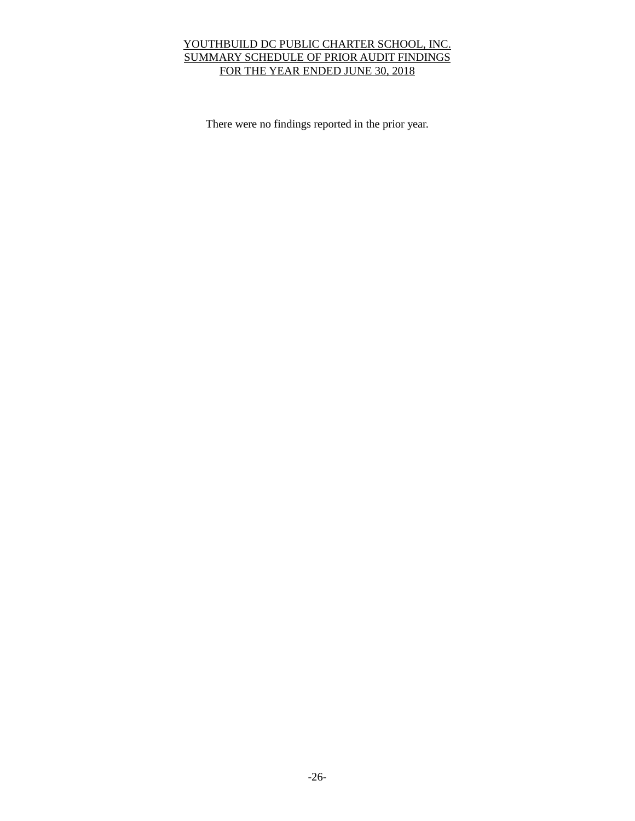# YOUTHBUILD DC PUBLIC CHARTER SCHOOL, INC. SUMMARY SCHEDULE OF PRIOR AUDIT FINDINGS FOR THE YEAR ENDED JUNE 30, 2018

There were no findings reported in the prior year.